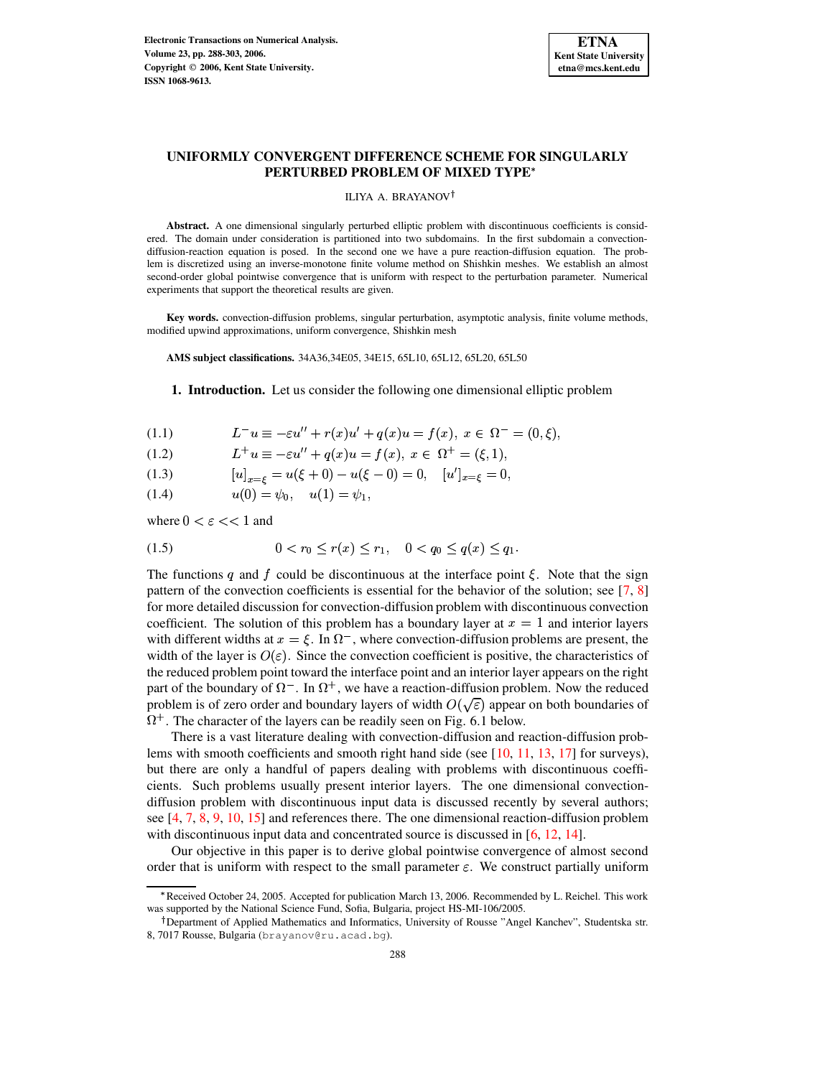

# **UNIFORMLY CONVERGENT DIFFERENCE SCHEME FOR SINGULARLY PERTURBED PROBLEM OF MIXED TYPE**

#### ILIYA A. BRAYANOV

**Abstract.** A one dimensional singularly perturbed elliptic problem with discontinuous coefficients is considered. The domain under consideration is partitioned into two subdomains. In the first subdomain a convectiondiffusion-reaction equation is posed. In the second one we have a pure reaction-diffusion equation. The problem is discretized using an inverse-monotone finite volume method on Shishkin meshes. We establish an almost second-order global pointwise convergence that is uniform with respect to the perturbation parameter. Numerical experiments that support the theoretical results are given.

**Key words.** convection-diffusion problems, singular perturbation, asymptotic analysis, finite volume methods, modified upwind approximations, uniform convergence, Shishkin mesh

**AMS subject classifications.** 34A36,34E05, 34E15, 65L10, 65L12, 65L20, 65L50

**1. Introduction.** Let us consider the following one dimensional elliptic problem

<span id="page-0-0"></span>(1.1) 
$$
L^{-}u \equiv -\varepsilon u'' + r(x)u' + q(x)u = f(x), \ x \in \Omega^{-} = (0, \xi),
$$

- $L^+u \equiv -\varepsilon u'' + a(x)u = f(x), x \in \Omega^+ = 0$
- (1.2)  $L^+u \equiv -\varepsilon u'' + q(x)u = f(x), x \in \Omega^+ = (\xi, 1),$ <br>(1.3)  $[u]_{x=\xi} = u(\xi + 0) u(\xi 0) = 0, [u']_{x=\xi} = 0,$

(1.4)  $u(0) = \psi_0, \quad u(1) = \psi_1,$ 

where  $0 < \varepsilon < 1$  and

<span id="page-0-1"></span>
$$
(1.5) \t 0 < r_0 \le r(x) \le r_1, \t 0 < q_0 \le q(x) \le q_1.
$$

The functions q and f could be discontinuous at the interface point  $\xi$ . Note that the sign pattern of the convection coefficients is essential for the behavior of the solution; see [\[7,](#page-15-0) [8\]](#page-15-1) for more detailed discussion for convection-diffusion problem with discontinuous convection coefficient. The solution of this problem has a boundary layer at  $x=1$  and interior layers with different widths at  $x = \xi$ . In  $\Omega^-$ , where convection-diffusion problems are present, the width of the layer is  $O(\varepsilon)$ . Since the convection coefficient is positive, the characteristics of the reduced problem point toward the interface point and an interior layer appears on the right part of the boundary of  $\Omega^-$ . In  $\Omega^+$ , we have a reaction-diffusion problem. Now the reduced problem is of zero order and boundary layers of width  $O(\sqrt{\varepsilon})$  appear on both boundaries of  $\Omega^+$ . The character of the layers can be readily seen on Fig. 6.1 below.

There is a vast literature dealing with convection-diffusion and reaction-diffusion problems with smooth coefficients and smooth right hand side (see  $[10, 11, 13, 17]$  $[10, 11, 13, 17]$  $[10, 11, 13, 17]$  $[10, 11, 13, 17]$  $[10, 11, 13, 17]$  $[10, 11, 13, 17]$  $[10, 11, 13, 17]$  for surveys), but there are only a handful of papers dealing with problems with discontinuous coefficients. Such problems usually present interior layers. The one dimensional convectiondiffusion problem with discontinuous input data is discussed recently by several authors; see [\[4,](#page-14-0) [7,](#page-15-0) [8,](#page-15-1) [9,](#page-15-6) [10,](#page-15-2) [15\]](#page-15-7) and references there. The one dimensional reaction-diffusion problem with discontinuous input data and concentrated source is discussed in [\[6,](#page-15-8) [12,](#page-15-9) [14\]](#page-15-10).

Our objective in this paper is to derive global pointwise convergence of almost second order that is uniform with respect to the small parameter  $\varepsilon$ . We construct partially uniform

<sup>b</sup> Received October 24, 2005. Accepted for publication March 13, 2006. Recommended by L. Reichel. This work was supported by the National Science Fund, Sofia, Bulgaria, project HS-MI-106/2005.

<sup>&</sup>lt;sup>†</sup> Department of Applied Mathematics and Informatics, University of Rousse "Angel Kanchev", Studentska str. 8, 7017 Rousse, Bulgaria (brayanov@ru.acad.bg).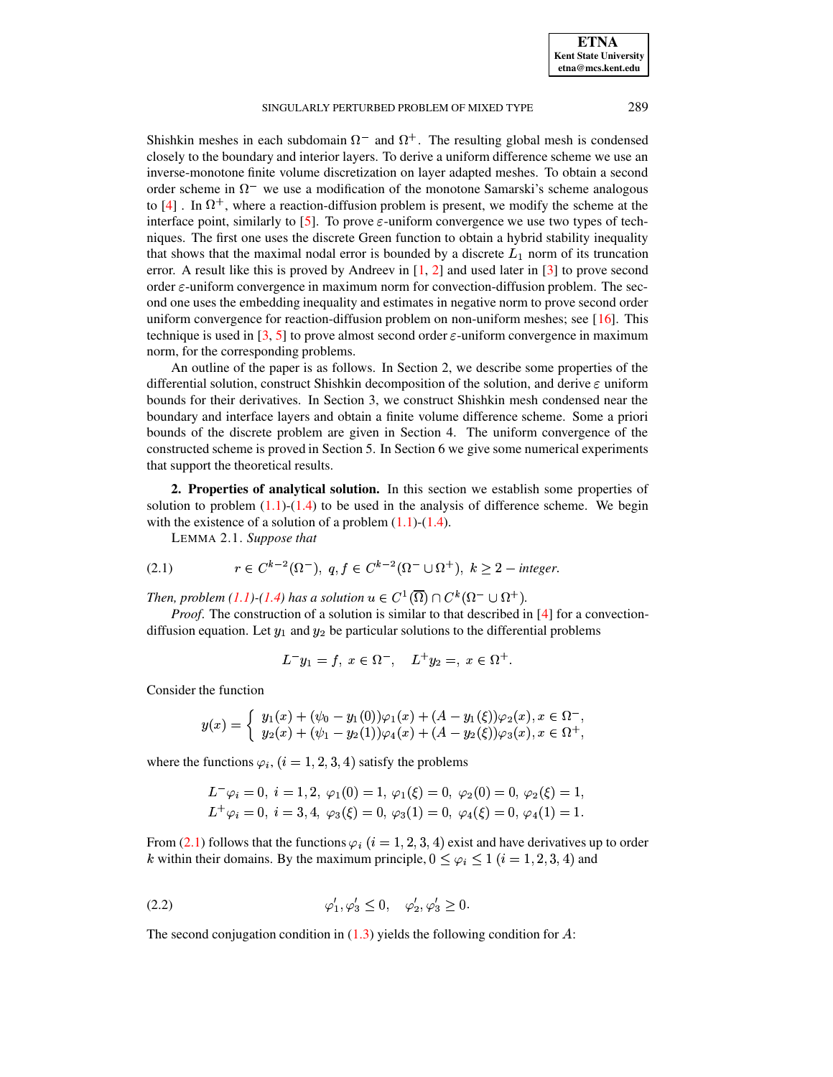Shishkin meshes in each subdomain  $\Omega^-$  and  $\Omega^+$ . The resulting global mesh is condensed closely to the boundary and interior layers. To derive a uniform difference scheme we use an inverse-monotone finite volume discretization on layer adapted meshes. To obtain a second order scheme in  $\Omega^-$  we use a modification of the monotone Samarski's scheme analogous to  $[4]$ . In  $\Omega^+$ , where a reaction-diffusion problem is present, we modify the scheme at the interface point, similarly to [\[5\]](#page-15-11). To prove  $\varepsilon$ -uniform convergence we use two types of techniques. The first one uses the discrete Green function to obtain a hybrid stability inequality that shows that the maximal nodal error is bounded by a discrete  $L_1$  norm of its truncation error. A result like this is proved by Andreev in  $[1, 2]$  $[1, 2]$  $[1, 2]$  and used later in  $[3]$  to prove second order  $\varepsilon$ -uniform convergence in maximum norm for convection-diffusion problem. The second one uses the embedding inequality and estimates in negative norm to prove second order uniform convergence for reaction-diffusion problem on non-uniform meshes; see  $[16]$ . This technique is used in [\[3,](#page-14-3) [5\]](#page-15-11) to prove almost second order  $\varepsilon$ -uniform convergence in maximum norm, for the corresponding problems.

An outline of the paper is as follows. In Section 2, we describe some properties of the differential solution, construct Shishkin decomposition of the solution, and derive  $\varepsilon$  uniform bounds for their derivatives. In Section 3, we construct Shishkin mesh condensed near the boundary and interface layers and obtain a finite volume difference scheme. Some a priori bounds of the discrete problem are given in Section 4. The uniform convergence of the constructed scheme is proved in Section 5. In Section 6 we give some numerical experiments that support the theoretical results.

**2. Properties of analytical solution.** In this section we establish some properties of solution to problem  $(1.1)-(1.4)$  $(1.1)-(1.4)$  $(1.1)-(1.4)$  to be used in the analysis of difference scheme. We begin with the existence of a solution of a problem  $(1.1)-(1.4)$  $(1.1)-(1.4)$  $(1.1)-(1.4)$ .

LEMMA 2.1. *Suppose that*

<span id="page-1-0"></span>(2.1) 
$$
r \in C^{k-2}(\Omega^-), q, f \in C^{k-2}(\Omega^- \cup \Omega^+), k \ge 2
$$
 - integer.

*Then, problem* [\(1.1\)](#page-0-0)-[\(1.4\)](#page-0-0) has a solution  $u \in C^1(\overline{\Omega}) \cap C^k(\Omega^- \cup \Omega^+)$ .

*Proof.* The construction of a solution is similar to that described in [\[4\]](#page-14-0) for a convectiondiffusion equation. Let  $y_1$  and  $y_2$  be particular solutions to the differential problems

$$
L^{-}y_{1} = f, \ x \in \Omega^{-}, \quad L^{+}y_{2} =, \ x \in \Omega^{+}.
$$

Consider the function

$$
y(x)=\left\{\begin{array}{l} y_1(x)+(\psi_0-y_1(0))\varphi_1(x)+(A-y_1(\xi))\varphi_2(x), x\in \Omega^-, \\ y_2(x)+(\psi_1-y_2(1))\varphi_4(x)+(A-y_2(\xi))\varphi_3(x), x\in \Omega^+, \end{array}\right.
$$

where the functions  $\varphi_i$ ,  $(i = 1, 2, 3, 4)$  satisfy the problems

$$
L^-\varphi_i = 0, \ i = 1, 2, \ \varphi_1(0) = 1, \varphi_1(\xi) = 0, \ \varphi_2(0) = 0, \varphi_2(\xi) = 1, L^+\varphi_i = 0, \ i = 3, 4, \ \varphi_3(\xi) = 0, \ \varphi_3(1) = 0, \ \varphi_4(\xi) = 0, \ \varphi_4(1) = 1.
$$

From [\(2.1\)](#page-1-0) follows that the functions  $\varphi_i$  ( $i = 1, 2, 3, 4$ ) exist and have derivatives up to order k within their domains. By the maximum principle,  $0 \le \varphi_i \le 1$   $(i = 1, 2, 3, 4)$  and

<span id="page-1-1"></span>
$$
\varphi_1', \varphi_3' \le 0, \quad \varphi_2', \varphi_3' \ge 0.
$$

The second conjugation condition in  $(1.3)$  yields the following condition for A: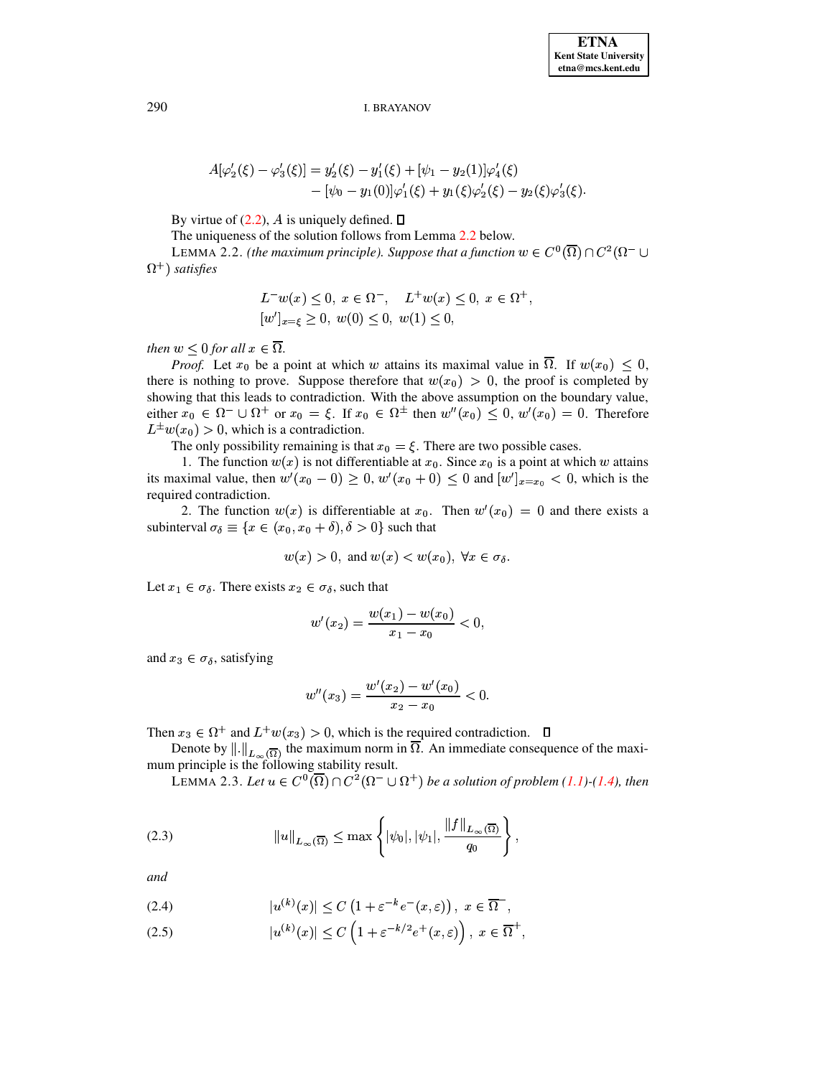$$
A[\varphi_2'(\xi) - \varphi_3'(\xi)] = y_2'(\xi) - y_1'(\xi) + [\psi_1 - y_2(1)]\varphi_4'(\xi)
$$
  
 
$$
- [\psi_0 - y_1(0)]\varphi_1'(\xi) + y_1(\xi)\varphi_2'(\xi) - y_2(\xi)\varphi_3'(\xi).
$$

By virtue of  $(2.2)$ , A is uniquely defined.

The uniqueness of the solution follows from Lemma [2.2](#page-2-0) below.

<span id="page-2-0"></span>LEMMA 2.2. *(the maximum principle). Suppose that a function*  $w \in C^0(\overline{\Omega}) \cap C^2(\Omega^- \cup$  $(\Omega^+)$  satisfies

$$
L^{-}w(x) \le 0, \ x \in \Omega^{-}, \quad L^{+}w(x) \le 0, \ x \in \Omega^{+},
$$
  

$$
[w']_{x=\xi} \ge 0, \ w(0) \le 0, \ w(1) \le 0,
$$

*then*  $w \leq 0$  *for all*  $x \in \Omega$ .

*Proof.* Let  $x_0$  be a point at which w attains its maximal value in  $\Omega$ . If  $w(x_0) \leq 0$ , there is nothing to prove. Suppose therefore that  $w(x_0) > 0$ , the proof is completed by showing that this leads to contradiction. With the above assumption on the boundary value, either  $x_0 \in \Omega^- \cup \Omega^+$  or  $x_0 = \xi$ . If  $x_0 \in \Omega^{\pm}$  then  $w''(x_0) \leq 0$ ,  $w'(x_0) = 0$ . Therefore  $L^{\pm}w(x_0) > 0$ , which is a contradiction.

The only possibility remaining is that  $x_0 = \xi$ . There are two possible cases.

1. The function  $w(x)$  is not differentiable at  $x_0$ . Since  $x_0$  is a point at which w attains its maximal value, then  $w'(x_0 - 0) \ge 0$ ,  $w'(x_0 + 0) \le 0$  and  $[w']_{x=x_0} < 0$ , which is the required contradiction.

2. The function  $w(x)$  is differentiable at  $x_0$ . Then  $w'(x_0) = 0$  and there exists a subinterval  $\sigma_{\delta} \equiv \{x \in (x_0, x_0 + \delta), \delta > 0\}$  such that

$$
w(x) > 0
$$
, and  $w(x) < w(x_0)$ ,  $\forall x \in \sigma_{\delta}$ .

Let  $x_1 \in \sigma_{\delta}$ . There exists  $x_2 \in \sigma_{\delta}$ , such that

$$
w'(x_2)=\frac{w(x_1)-w(x_0)}{x_1-x_0}<0,
$$

and  $x_3 \in \sigma_{\delta}$ , satisfying

$$
w''(x_3)=\frac{w'(x_2)-w'(x_0)}{x_2-x_0}<0.
$$

Then  $x_3 \in \Omega^+$  and  $L^+w(x_3) > 0$ , which is the required contradiction.

<span id="page-2-3"></span>Denote by  $\|\cdot\|_{L}$  (o) the maximum norm in  $\Omega$ . An immediate consequence of the maximum principle is the following stability result.

**LEMMA** 2.3. Let  $u \in C^0(\overline{\Omega}) \cap C^2(\Omega^- \cup \Omega^+)$  be a solution of problem [\(1.1\)](#page-0-0)-[\(1.4\)](#page-0-0), then

<span id="page-2-1"></span>(2.3) 
$$
||u||_{L_{\infty}(\overline{\Omega})} \leq \max \left\{ |\psi_0|, |\psi_1|, \frac{||f||_{L_{\infty}(\overline{\Omega})}}{q_0} \right\},
$$

*and*

<span id="page-2-2"></span>(2.4) 
$$
|u^{(k)}(x)| \leq C \left(1 + \varepsilon^{-k} e^{-}(x, \varepsilon)\right), \ x \in \overline{\Omega}^{-},
$$

(2.5) 
$$
|u^{(k)}(x)| \leq C \left(1 + \varepsilon^{-k/2} e^+(x, \varepsilon)\right), \ x \in \overline{\Omega}^+,
$$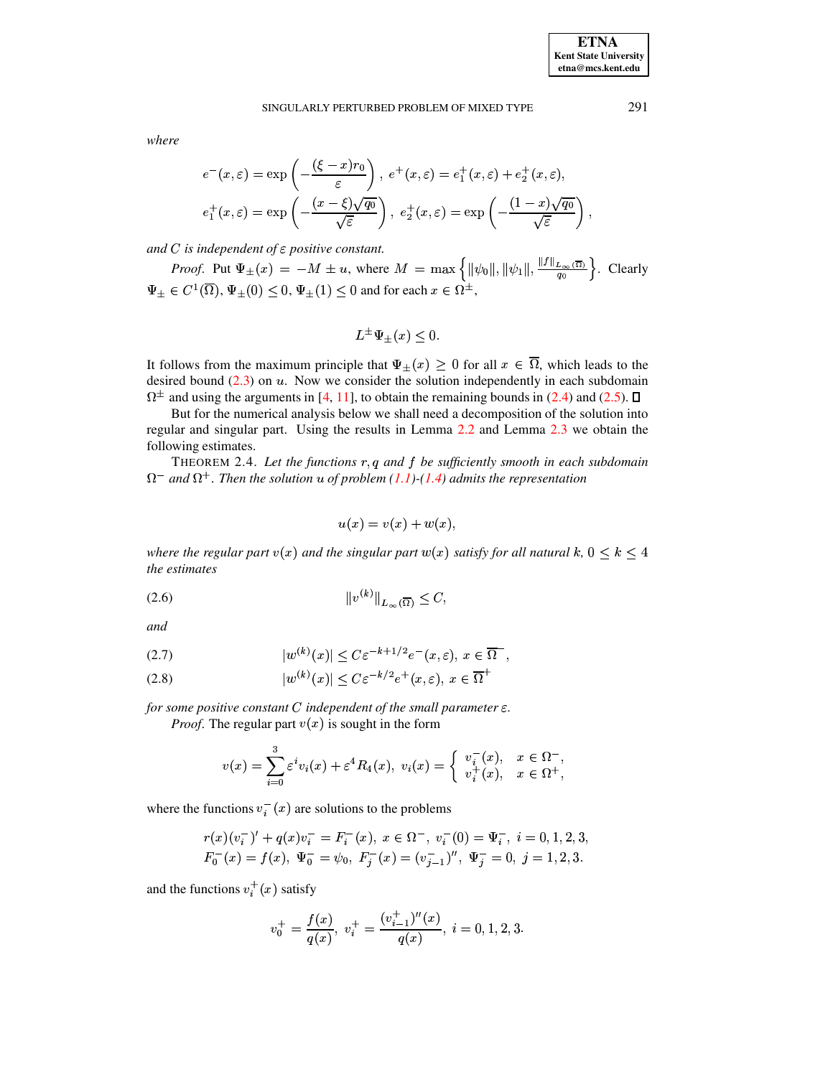*where*

$$
e^{-}(x,\varepsilon) = \exp\left(-\frac{(\xi - x)r_0}{\varepsilon}\right), e^{+}(x,\varepsilon) = e_1^{+}(x,\varepsilon) + e_2^{+}(x,\varepsilon),
$$
  

$$
e_1^{+}(x,\varepsilon) = \exp\left(-\frac{(x-\xi)\sqrt{q_0}}{\sqrt{\varepsilon}}\right), e_2^{+}(x,\varepsilon) = \exp\left(-\frac{(1-x)\sqrt{q_0}}{\sqrt{\varepsilon}}\right),
$$

and C is independent of  $\varepsilon$  positive constant.

*Proof.* Put  $\Psi_{\pm}(x) = -M \pm u$ , where  $M = \max \{ \|\psi_0\|, \|\psi_1\|, \frac{\|\Psi\|_{L_{\infty}(\Omega)}}{a_0} \}$ . Clearly  $\Psi_{\pm} \in C^1(\overline{\Omega}), \Psi_{\pm}(0) \leq 0, \Psi_{\pm}(1) \leq 0$  and for each  $x \in \Omega^{\pm}$ ,

$$
L^{\pm}\Psi_{\pm}(x)\leq 0.
$$

It follows from the maximum principle that  $\Psi_{\pm}(x) \geq 0$  for all  $x \in \Omega$ , which leads to the desired bound  $(2.3)$  on  $u$ . Now we consider the solution independently in each subdomain  $\Omega^{\pm}$  and using the arguments in [\[4,](#page-14-0) [11\]](#page-15-3), to obtain the remaining bounds in [\(2.4\)](#page-2-2) and [\(2.5\)](#page-2-2).

But for the numerical analysis below we shall need a decomposition of the solution into regular and singular part. Using the results in Lemma [2.2](#page-2-0) and Lemma [2.3](#page-2-3) we obtain the following estimates.

<span id="page-3-2"></span>THEOREM 2.4. Let the functions  $r, q$  and  $f$  be sufficiently smooth in each subdomain  $\Omega^-$  and  $\Omega^+$ . Then the solution  $u$  of problem [\(1.1\)](#page-0-0)-[\(1.4\)](#page-0-0) admits the representation

$$
u(x) = v(x) + w(x),
$$

*where the regular part*  $v(x)$  *and the singular part*  $w(x)$  *satisfy for all natural*  $k$ ,  $0 \leq k \leq 4$ *the estimates*

<span id="page-3-1"></span>
$$
||v^{(k)}||_{L_{\infty}(\overline{\Omega})} \leq C,
$$

*and*

<span id="page-3-0"></span>(2.7) 
$$
|w^{(k)}(x)| \leq C\varepsilon^{-k+1/2} e^{-}(x,\varepsilon), x \in \overline{\Omega}^{-},
$$

$$
(2.8) \t |w^{(k)}(x)| \le C\varepsilon^{-k/2}e^+(x,\varepsilon), \ x \in \overline{\Omega}^+
$$

for some positive constant  $C$  independent of the small parameter  $\varepsilon$ .

*Proof.* The regular part  $v(x)$  is sought in the form

$$
v(x)=\sum_{i=0}^3\varepsilon^iv_i(x)+\varepsilon^4 R_4(x),\;v_i(x)=\left\{\begin{array}{ll}v_i^-(x),&x\in\Omega^-,\\v_i^+(x),&x\in\Omega^+, \end{array}\right.
$$

where the functions  $v_i^-(x)$  are solutions to the problems

$$
r(x)(v_i^-)' + q(x)v_i^- = F_i^-(x), \ x \in \Omega^-, \ v_i^-(0) = \Psi_i^-, \ i = 0, 1, 2, 3,
$$
  

$$
F_0^-(x) = f(x), \ \Psi_0^- = \psi_0, \ F_j^-(x) = (v_{j-1}^-)'' , \ \Psi_j^- = 0, \ j = 1, 2, 3.
$$

and the functions  $v_i^+(x)$  satisfy

$$
v_0^+=\frac{f(x)}{q(x)},\;v_i^+=\frac{(v_{i-1}^+)^{\prime\prime}(x)}{q(x)},\;i=0,1,2,3.
$$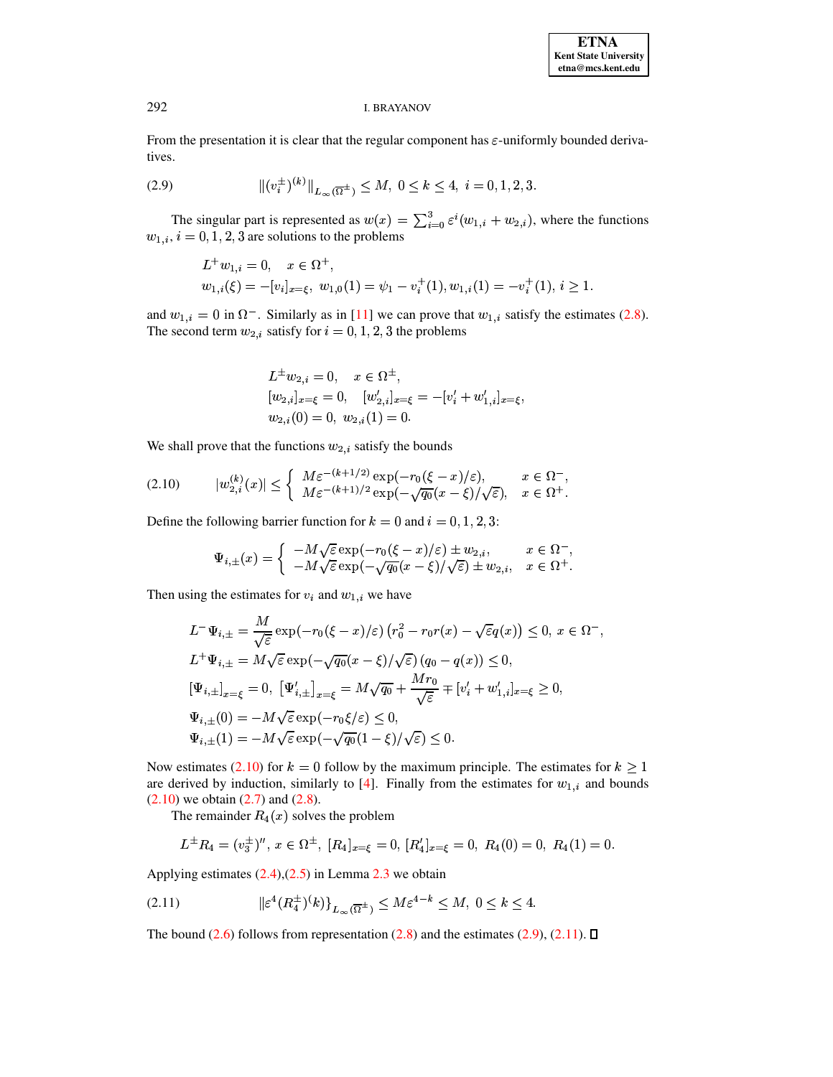From the presentation it is clear that the regular component has  $\varepsilon$ -uniformly bounded derivatives.

<span id="page-4-1"></span>(2.9) 
$$
\| (v_i^{\pm})^{(k)} \|_{L_{\infty}(\overline{\Omega}^{\pm})} \le M, \ 0 \le k \le 4, \ i = 0, 1, 2, 3.
$$

The singular part is represented as  $w(x) = \sum_{i=0}^{3} \varepsilon^{i} (w_{1,i} + w_{2,i})$ , where the functions  $w_{1,i}$ ,  $i = 0, 1, 2, 3$  are solutions to the problems

$$
L^+w_{1,i} = 0, \quad x \in \Omega^+,
$$
  
\n
$$
w_{1,i}(\xi) = -[v_i]_{x=\xi}, w_{1,0}(1) = \psi_1 - v_i^+(1), w_{1,i}(1) = -v_i^+(1), i \ge 1.
$$

and  $w_{1,i} = 0$  in  $\Omega^-$ . Similarly as in [11] we can prove that  $w_{1,i}$  satisfy the estimates (2.8). The second term  $w_{2,i}$  satisfy for  $i = 0, 1, 2, 3$  the problems

$$
L^{\pm}w_{2,i} = 0, \quad x \in \Omega^{\pm},
$$
  
\n
$$
[w_{2,i}]_{x=\xi} = 0, \quad [w'_{2,i}]_{x=\xi} = -[v'_{i} + w'_{1,i}]_{x=\xi},
$$
  
\n
$$
w_{2,i}(0) = 0, w_{2,i}(1) = 0.
$$

We shall prove that the functions  $w_{2,i}$  satisfy the bounds

<span id="page-4-0"></span>
$$
(2.10) \t |w_{2,i}^{(k)}(x)| \leq \begin{cases} M\varepsilon^{-(k+1/2)}\exp(-r_0(\xi-x)/\varepsilon), & x \in \Omega^-,\\ M\varepsilon^{-(k+1)/2}\exp(-\sqrt{q_0}(x-\xi)/\sqrt{\varepsilon}), & x \in \Omega^+. \end{cases}
$$

Define the following barrier function for  $k = 0$  and  $i = 0, 1, 2, 3$ :

$$
\Psi_{i,\pm}(x) = \begin{cases}\n-M\sqrt{\varepsilon}\exp(-r_0(\xi - x)/\varepsilon) \pm w_{2,i}, & x \in \Omega^- \\
-M\sqrt{\varepsilon}\exp(-\sqrt{q_0}(x - \xi)/\sqrt{\varepsilon}) \pm w_{2,i}, & x \in \Omega^+\n\end{cases}
$$

Then using the estimates for  $v_i$  and  $w_{1,i}$  we have

$$
L^{-} \Psi_{i,\pm} = \frac{M}{\sqrt{\varepsilon}} \exp(-r_{0}(\xi - x)/\varepsilon) (r_{0}^{2} - r_{0}r(x) - \sqrt{\varepsilon}q(x)) \leq 0, x \in \Omega^{-},
$$
  
\n
$$
L^{+} \Psi_{i,\pm} = M \sqrt{\varepsilon} \exp(-\sqrt{q_{0}}(x - \xi)/\sqrt{\varepsilon}) (q_{0} - q(x)) \leq 0,
$$
  
\n
$$
[\Psi_{i,\pm}]_{x=\xi} = 0, [\Psi'_{i,\pm}]_{x=\xi} = M \sqrt{q_{0}} + \frac{Mr_{0}}{\sqrt{\varepsilon}} \mp [v'_{i} + w'_{1,i}]_{x=\xi} \geq 0,
$$
  
\n
$$
\Psi_{i,\pm}(0) = -M \sqrt{\varepsilon} \exp(-r_{0}\xi/\varepsilon) \leq 0,
$$
  
\n
$$
\Psi_{i,\pm}(1) = -M \sqrt{\varepsilon} \exp(-\sqrt{q_{0}}(1 - \xi)/\sqrt{\varepsilon}) \leq 0.
$$

Now estimates (2.10) for  $k = 0$  follow by the maximum principle. The estimates for  $k \ge 1$ are derived by induction, similarly to [4]. Finally from the estimates for  $w_{1,i}$  and bounds  $(2.10)$  we obtain  $(2.7)$  and  $(2.8)$ .

The remainder  $R_4(x)$  solves the problem

$$
L^{\pm}R_4=(v_3^{\pm})^{\prime\prime}, x\in\Omega^{\pm}, [R_4]_{x=\xi}=0, [R_4^{\prime}]_{x=\xi}=0, R_4(0)=0, R_4(1)=0.
$$

Applying estimates  $(2.4)$ , $(2.5)$  in Lemma 2.3 we obtain

<span id="page-4-2"></span>
$$
(2.11) \t\t\t ||\varepsilon^4 (R_4^{\pm})^k)|_{L_\infty(\overline{\Omega}^{\pm})} \le M\varepsilon^{4-k} \le M, \ 0 \le k \le 4.
$$

The bound (2.6) follows from representation (2.8) and the estimates (2.9), (2.11).  $\Box$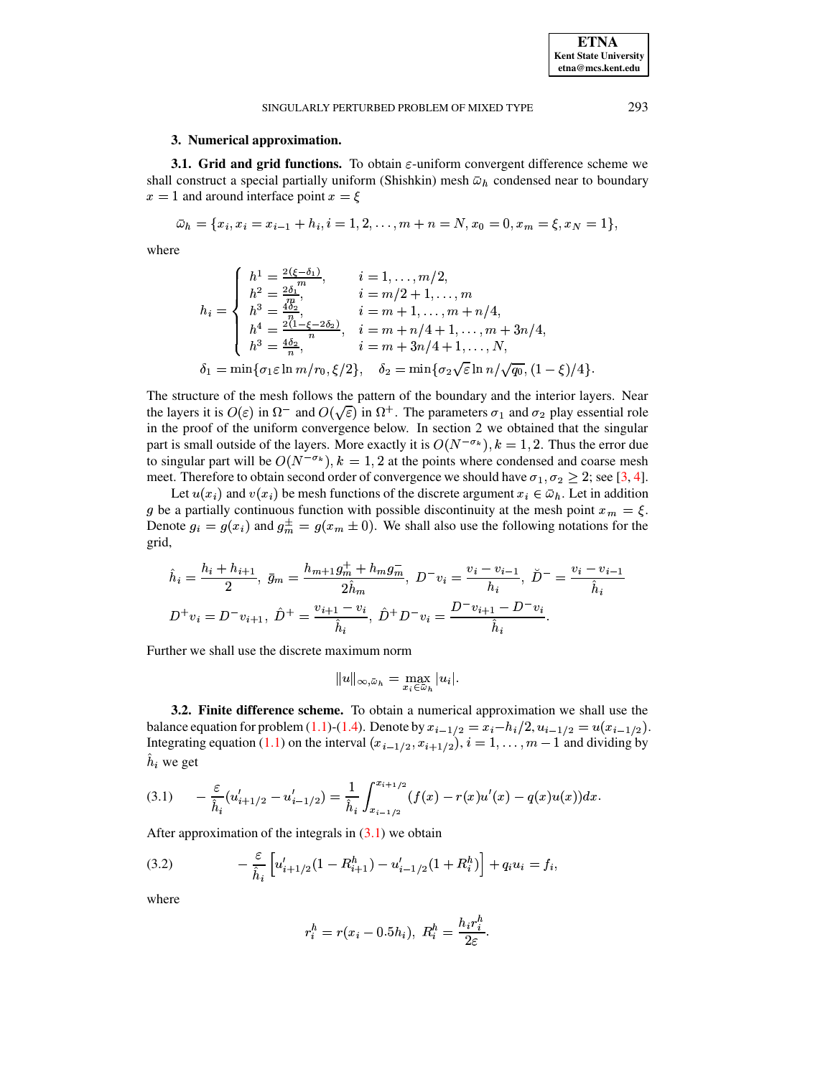**3.1. Grid and grid functions.** To obtain  $\varepsilon$ -uniform convergent difference scheme we shall construct a special partially uniform (Shishkin) mesh  $\bar{\omega}_h$  condensed near to boundary  $x = 1$  and around interface point  $x = \xi$ 

$$
\bar{\omega}_h = \{x_i, x_i = x_{i-1} + h_i, i = 1, 2, \dots, m + n = N, x_0 = 0, x_m = \xi, x_N = 1\},\
$$

where

$$
h_i = \begin{cases} h^1 = \frac{2(\xi - \delta_1)}{m}, & i = 1, ..., m/2, \\ h^2 = \frac{2\delta_1}{m}, & i = m/2 + 1, ..., m \\ h^3 = \frac{4\delta_2}{m}, & i = m + 1, ..., m + n/4, \\ h^4 = \frac{2(1 - \xi - 2\delta_2)}{n}, & i = m + n/4 + 1, ..., m + 3n/4, \\ h^3 = \frac{4\delta_2}{n}, & i = m + 3n/4 + 1, ..., N, \\ \delta_1 = \min\{\sigma_1 \varepsilon \ln m/r_0, \xi/2\}, & \delta_2 = \min\{\sigma_2\sqrt{\varepsilon} \ln n/\sqrt{q_0}, (1 - \xi)/4\}. \end{cases}
$$

The structure of the mesh follows the pattern of the boundary and the interior layers. Near the layers it is  $O(\varepsilon)$  in  $\Omega^-$  and  $O(\sqrt{\varepsilon})$  in  $\Omega^+$ . The parameters  $\sigma_1$  and  $\sigma_2$  play essential role in the proof of the uniform convergence below. In section 2 we obtained that the singular part is small outside of the layers. More exactly it is  $O(N^{-\sigma_k})$ ,  $k = 1, 2$ . Thus the error due to singular part will be  $O(N^{-\sigma_k})$ ,  $k = 1, 2$  at the points where condensed and coarse mesh meet. Therefore to obtain second order of convergence we should have  $\sigma_1, \sigma_2 \geq 2$ ; see [3, 4].

Let  $u(x_i)$  and  $v(x_i)$  be mesh functions of the discrete argument  $x_i \in \bar{\omega}_h$ . Let in addition g be a partially continuous function with possible discontinuity at the mesh point  $x_m = \xi$ . Denote  $g_i = g(x_i)$  and  $g_m^{\pm} = g(x_m \pm 0)$ . We shall also use the following notations for the grid,

$$
\hat{h}_i = \frac{h_i + h_{i+1}}{2}, \ \bar{g}_m = \frac{h_{m+1}g_m^+ + h_m g_m^-}{2\hat{h}_m}, \ D^-v_i = \frac{v_i - v_{i-1}}{h_i}, \ \breve{D}^- = \frac{v_i - v_{i-1}}{\hat{h}_i}
$$
\n
$$
D^+v_i = D^-v_{i+1}, \ \hat{D}^+ = \frac{v_{i+1} - v_i}{\hat{h}_i}, \ \hat{D}^+D^-v_i = \frac{D^-v_{i+1} - D^-v_i}{\hat{h}_i}.
$$

Further we shall use the discrete maximum norm

$$
||u||_{\infty,\bar{\omega}_h} = \max_{x_i \in \bar{\omega}_h} |u_i|.
$$

**3.2. Finite difference scheme.** To obtain a numerical approximation we shall use the balance equation for problem (1.1)-(1.4). Denote by  $x_{i-1/2} = x_i - h_i/2$ ,  $u_{i-1/2} = u(x_{i-1/2})$ . Integrating equation (1.1) on the interval  $(x_{i-1/2}, x_{i+1/2}), i = 1, ..., m-1$  and dividing by  $h_i$  we get

<span id="page-5-0"></span>
$$
(3.1) \qquad -\frac{\varepsilon}{\hat{h}_i}(u'_{i+1/2} - u'_{i-1/2}) = \frac{1}{\hat{h}_i}\int_{x_{i-1/2}}^{x_{i+1/2}} (f(x) - r(x)u'(x) - q(x)u(x))dx.
$$

After approximation of the integrals in  $(3.1)$  we obtain

<span id="page-5-1"></span>(3.2) 
$$
- \frac{\varepsilon}{\hat{h}_i} \left[ u'_{i+1/2} (1 - R_{i+1}^h) - u'_{i-1/2} (1 + R_i^h) \right] + q_i u_i = f_i,
$$

where

$$
r_i^h = r(x_i - 0.5h_i), \ R_i^h = \frac{h_i r_i^h}{2\varepsilon}.
$$

**ETNA Kent State University**  $etna@mcs. kent.edu$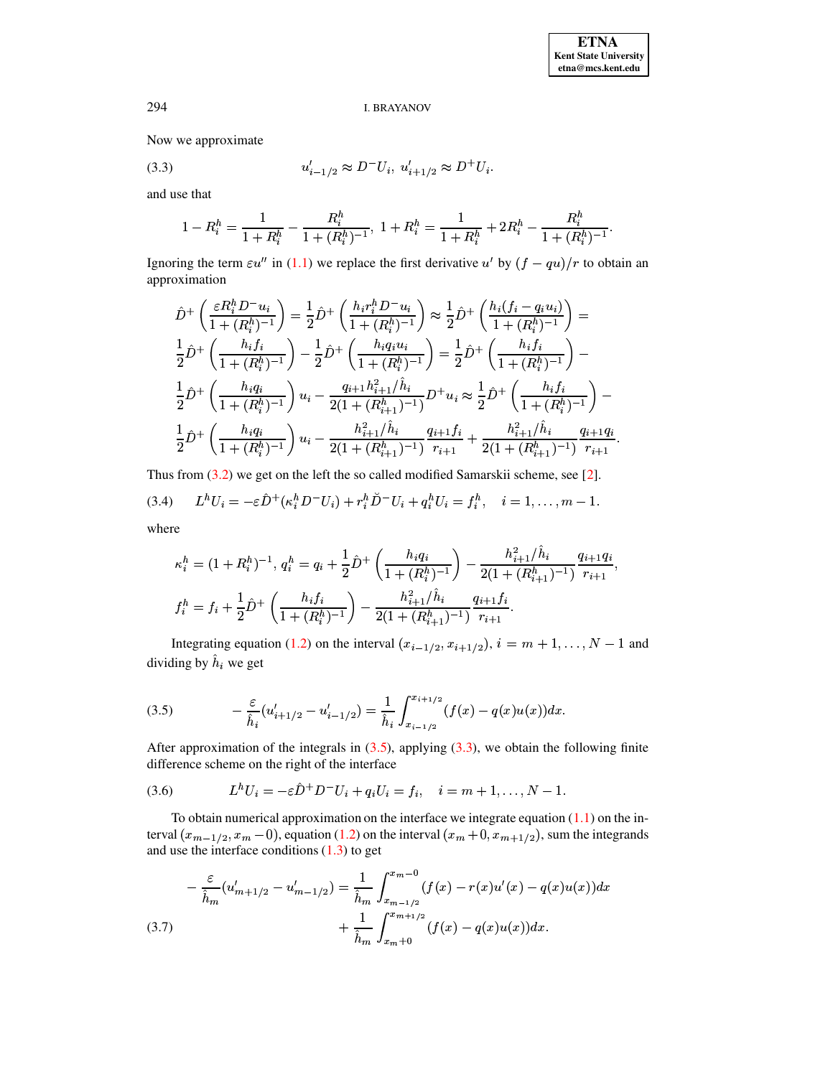Now we approximate

(3.3) 
$$
u'_{i-1/2} \approx D^{-}U_i, u'_{i+1/2} \approx D^{+}U_i.
$$

and use that

<span id="page-6-1"></span>
$$
1-R_i^h=\frac{1}{1+R_i^h}-\frac{R_i^h}{1+(R_i^h)^{-1}},\;1+R_i^h=\frac{1}{1+R_i^h}+2R_i^h-\frac{R_i^h}{1+(R_i^h)^{-1}}.
$$

Ignoring the term  $\varepsilon u''$  in [\(1.1\)](#page-0-0) we replace the first derivative  $u'$  by  $(f - qu)/r$  to obtain an approximation

$$
\hat{D}^{+}\left(\frac{\varepsilon R_{i}^{h}D^{-}u_{i}}{1+(R_{i}^{h})^{-1}}\right)=\frac{1}{2}\hat{D}^{+}\left(\frac{h_{i}r_{i}^{h}D^{-}u_{i}}{1+(R_{i}^{h})^{-1}}\right)\approx\frac{1}{2}\hat{D}^{+}\left(\frac{h_{i}(f_{i}-q_{i}u_{i})}{1+(R_{i}^{h})^{-1}}\right)=\frac{1}{2}\hat{D}^{+}\left(\frac{h_{i}f_{i}}{1+(R_{i}^{h})^{-1}}\right)-\frac{1}{2}\hat{D}^{+}\left(\frac{h_{i}q_{i}u_{i}}{1+(R_{i}^{h})^{-1}}\right)=\frac{1}{2}\hat{D}^{+}\left(\frac{h_{i}f_{i}}{1+(R_{i}^{h})^{-1}}\right)-\frac{1}{2}\hat{D}^{+}\left(\frac{h_{i}q_{i}}{1+(R_{i}^{h})^{-1}}\right)u_{i}-\frac{q_{i+1}h_{i+1}^{2}/\hat{h}_{i}}{2(1+(R_{i+1}^{h})^{-1})}D^{+}u_{i}\approx\frac{1}{2}\hat{D}^{+}\left(\frac{h_{i}f_{i}}{1+(R_{i}^{h})^{-1}}\right)-\frac{1}{2}\hat{D}^{+}\left(\frac{h_{i}q_{i}}{1+(R_{i}^{h})^{-1}}\right)u_{i}-\frac{h_{i+1}^{2}/\hat{h}_{i}}{2(1+(R_{i+1}^{h})^{-1})}\frac{q_{i+1}f_{i}}{r_{i+1}}+\frac{h_{i+1}^{2}/\hat{h}_{i}}{2(1+(R_{i+1}^{h})^{-1})}\frac{q_{i+1}q_{i}}{r_{i+1}}.
$$

<span id="page-6-3"></span>Thus from  $(3.2)$  we get on the left the so called modified Samarskii scheme, see [\[2\]](#page-14-2).  $\mathbf{F}$   $\mathbf{F}$   $\mathbf{F}$   $\mathbf{F}$   $\mathbf{F}$   $\mathbf{F}$   $\mathbf{F}$   $\mathbf{F}$   $\mathbf{F}$   $\mathbf{F}$   $\mathbf{F}$   $\mathbf{F}$   $\mathbf{F}$   $\mathbf{F}$   $\mathbf{F}$   $\mathbf{F}$   $\mathbf{F}$   $\mathbf{F}$   $\mathbf{F}$   $\mathbf{F}$   $\mathbf{F}$   $\mathbf{F}$   $\mathbf{F}$   $\mathbf{F}$   $\mathbf{$ (3.4) where

$$
\kappa_i^h = (1 + R_i^h)^{-1}, q_i^h = q_i + \frac{1}{2}\hat{D}^+\left(\frac{h_i q_i}{1 + (R_i^h)^{-1}}\right) - \frac{h_{i+1}^2 / \hat{h}_i}{2(1 + (R_{i+1}^h)^{-1})} \frac{q_{i+1} q_i}{r_{i+1}},
$$
  

$$
f_i^h = f_i + \frac{1}{2}\hat{D}^+\left(\frac{h_i f_i}{1 + (R_i^h)^{-1}}\right) - \frac{h_{i+1}^2 / \hat{h}_i}{2(1 + (R_{i+1}^h)^{-1})} \frac{q_{i+1} f_i}{r_{i+1}}.
$$

Integrating equation [\(1.2\)](#page-0-0) on the interval  $(x_{i-1/2}, x_{i+1/2}), i = m+1, \ldots, N-1$  and dividing by  $h_i$  we get

<span id="page-6-0"></span>(3.5) 
$$
-\frac{\varepsilon}{\hat{h}_i}(u'_{i+1/2}-u'_{i-1/2})=\frac{1}{\hat{h}_i}\int_{x_{i-1/2}}^{x_{i+1/2}}(f(x)-q(x)u(x))dx.
$$

After approximation of the integrals in  $(3.5)$ , applying  $(3.3)$ , we obtain the following finite difference scheme on the right of the interface

<span id="page-6-4"></span>(3.6) 
$$
L^{h}U_{i} = -\varepsilon \hat{D}^{+}D^{-}U_{i} + q_{i}U_{i} = f_{i}, \quad i = m+1, ..., N-1.
$$

To obtain numerical approximation on the interface we integrate equation  $(1.1)$  on the interval  $(x_{m-1/2}, x_m - 0)$ , equation [\(1.2\)](#page-0-0) on the interval  $(x_m + 0, x_{m+1/2})$ , sum the integrands and use the interface conditions  $(1.3)$  to get

<span id="page-6-2"></span>
$$
-\frac{\varepsilon}{\hat{h}_m}(u'_{m+1/2} - u'_{m-1/2}) = \frac{1}{\hat{h}_m} \int_{x_{m-1/2}}^{x_m - 0} (f(x) - r(x)u'(x) - q(x)u(x))dx + \frac{1}{\hat{h}_m} \int_{x_m + 0}^{x_{m+1/2}} (f(x) - q(x)u(x))dx.
$$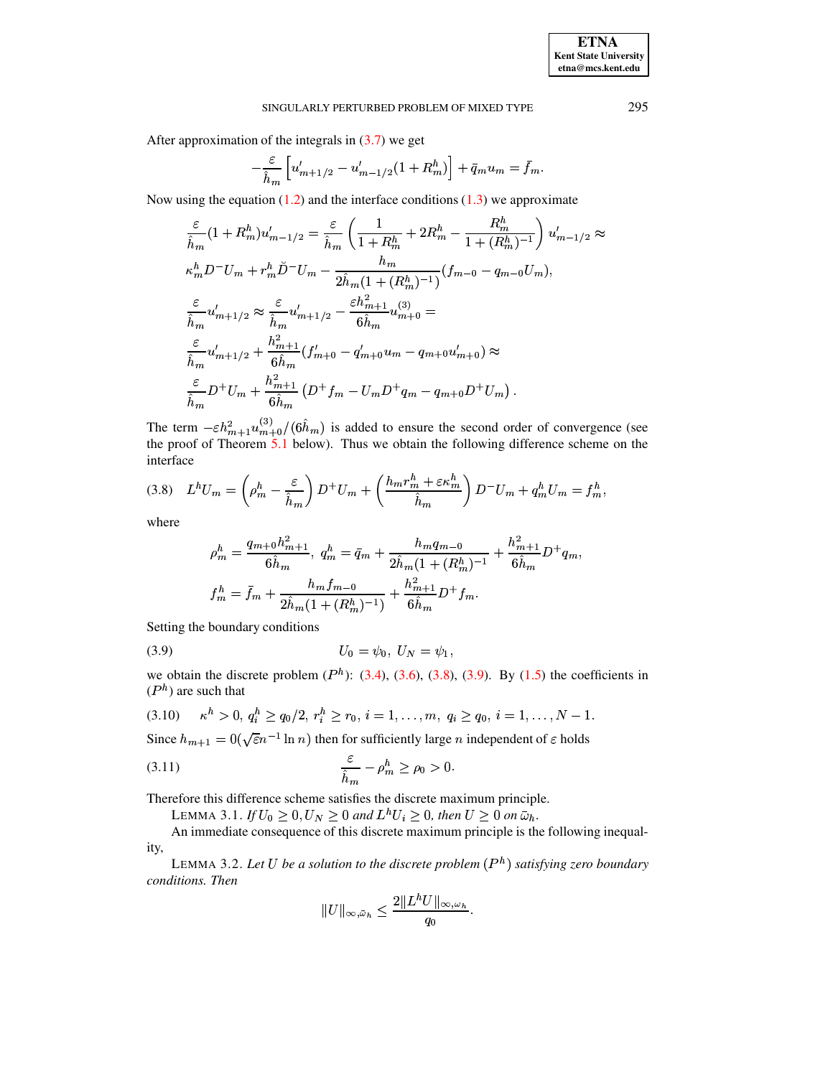After approximation of the integrals in  $(3.7)$  we get

$$
-\frac{\varepsilon}{\hat{h}_m} \left[ u'_{m+1/2} - u'_{m-1/2} (1 + R_m^h) \right] + \bar{q}_m u_m = \bar{f}_m
$$

Now using the equation  $(1.2)$  and the interface conditions  $(1.3)$  we approximate

$$
\frac{\varepsilon}{\hat{h}_m}(1+R_m^h)u'_{m-1/2} = \frac{\varepsilon}{\hat{h}_m} \left( \frac{1}{1+R_m^h} + 2R_m^h - \frac{R_m^h}{1+(R_m^h)^{-1}} \right) u'_{m-1/2} \approx
$$
\n
$$
\kappa_m^h D^- U_m + r_m^h \breve{D}^- U_m - \frac{h_m}{2\hat{h}_m(1+(R_m^h)^{-1})} (f_{m-0} - q_{m-0}U_m),
$$
\n
$$
\frac{\varepsilon}{\hat{h}_m} u'_{m+1/2} \approx \frac{\varepsilon}{\hat{h}_m} u'_{m+1/2} - \frac{\varepsilon h_{m+1}^2}{6\hat{h}_m} u^{(3)}_{m+0} =
$$
\n
$$
\frac{\varepsilon}{\hat{h}_m} u'_{m+1/2} + \frac{h_{m+1}^2}{6\hat{h}_m} (f'_{m+0} - q'_{m+0}u_m - q_{m+0}u'_{m+0}) \approx
$$
\n
$$
\frac{\varepsilon}{\hat{h}_m} D^+ U_m + \frac{h_{m+1}^2}{6\hat{h}_m} (D^+ f_m - U_m D^+ q_m - q_{m+0}D^+ U_m).
$$

The term  $-\varepsilon h_{m+1}^2 u_{m+0}^{(3)}/(6\hat{h}_m)$  is added to ensure the second order of convergence (see the proof of Theorem  $\frac{5.1}{1.0}$  below). Thus we obtain the following difference scheme on the interface

<span id="page-7-0"></span>
$$
(3.8) \quad L^h U_m = \left(\rho_m^h - \frac{\varepsilon}{\hat{h}_m}\right) D^+ U_m + \left(\frac{h_m r_m^h + \varepsilon \kappa_m^h}{\hat{h}_m}\right) D^- U_m + q_m^h U_m = f_m^h,
$$

where

$$
\rho_m^h = \frac{q_{m+0}h_{m+1}^2}{6\hat{h}_m}, \ q_m^h = \bar{q}_m + \frac{h_m q_{m-0}}{2\hat{h}_m (1 + (R_m^h)^{-1}} + \frac{h_{m+1}^2}{6\hat{h}_m} D^+ q_m,
$$
  

$$
f_m^h = \bar{f}_m + \frac{h_m f_{m-0}}{2\hat{h}_m (1 + (R_m^h)^{-1})} + \frac{h_{m+1}^2}{6\hat{h}_m} D^+ f_m.
$$

Setting the boundary conditions

<span id="page-7-1"></span>(3.9) 
$$
U_0 = \psi_0, \ U_N = \psi_1,
$$

we obtain the discrete problem  $(P<sup>h</sup>)$ : (3.4), (3.6), (3.8), (3.9). By (1.5) the coefficients in  $(P<sup>h</sup>)$  are such that

<span id="page-7-2"></span>
$$
(3.10) \t\t \kappa^h > 0, q_i^h \ge q_0/2, r_i^h \ge r_0, i = 1, \ldots, m, q_i \ge q_0, i = 1, \ldots, N-1
$$

Since  $h_{m+1} = 0(\sqrt{\varepsilon}n^{-1} \ln n)$  then for sufficiently large *n* independent of  $\varepsilon$  holds

(3.11) 
$$
\frac{\varepsilon}{\hat{h}_m} - \rho_m^h \ge \rho_0 > 0.
$$

Therefore this difference scheme satisfies the discrete maximum principle.

<span id="page-7-3"></span>LEMMA 3.1. If  $U_0 \ge 0$ ,  $U_N \ge 0$  and  $L^hU_i \ge 0$ , then  $U \ge 0$  on  $\bar{\omega}_h$ .

An immediate consequence of this discrete maximum principle is the following inequality,

LEMMA 3.2. Let U be a solution to the discrete problem  $(P<sup>h</sup>)$  satisfying zero boundary conditions. Then

$$
||U||_{\infty,\bar{\omega}_h} \leq \frac{2||L^hU||_{\infty,\omega_h}}{q_0}.
$$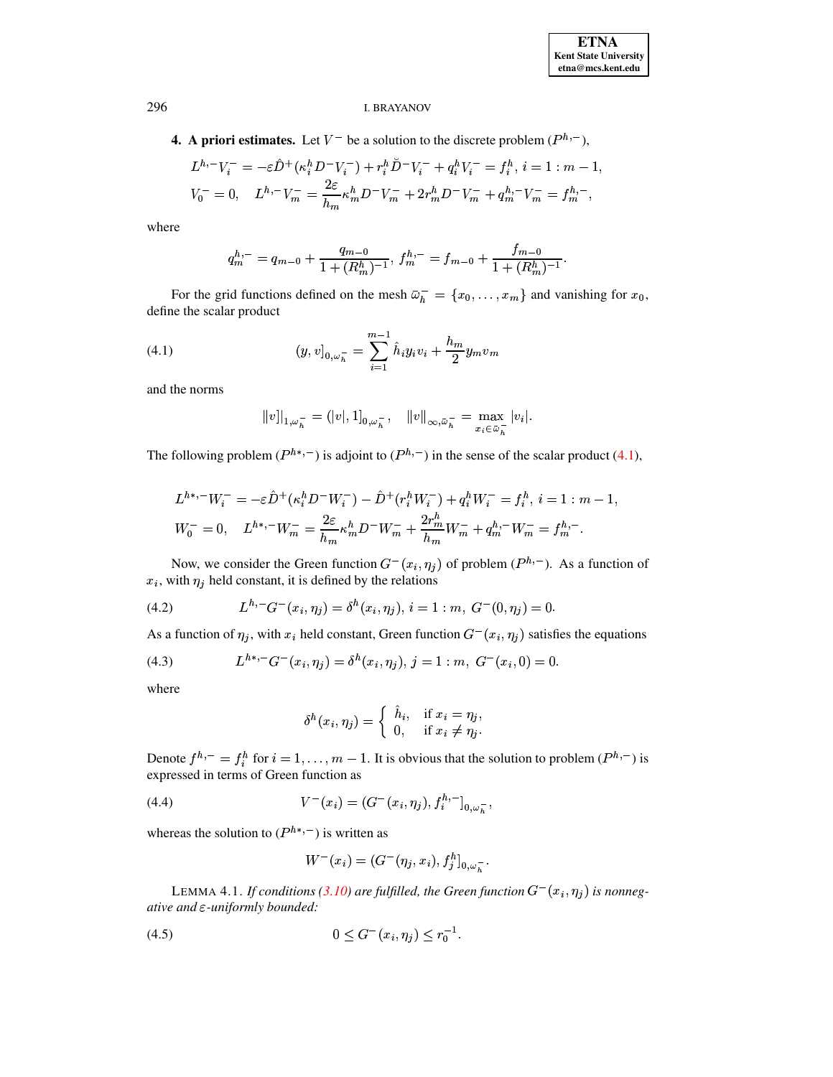**4.** A priori estimates. Let  $V^-$  be a solution to the discrete problem  $(P^{h,-})$ ,

$$
L^{h,-}V_i^- = -\varepsilon \hat{D}^+ (\kappa_i^h D^- V_i^-) + r_i^h \check{D}^- V_i^- + q_i^h V_i^- = f_i^h, i = 1 : m - 1
$$
  

$$
V_0^- = 0, \quad L^{h,-}V_m^- = \frac{2\varepsilon}{h_m} \kappa_m^h D^- V_m^- + 2r_m^h D^- V_m^- + q_m^{h,-} V_m^- = f_m^{h,-},
$$

where

$$
q_m^{h,-} = q_{m-0} + \frac{q_{m-0}}{1 + (R_m^h)^{-1}}, \, f_m^{h,-} = f_{m-0} + \frac{f_{m-0}}{1 + (R_m^h)^{-1}}.
$$

For the grid functions defined on the mesh  $\bar{\omega}_h^- = \{x_0, \ldots, x_m\}$  and vanishing for  $x_0$ , define the scalar product

<span id="page-8-0"></span>(4.1) 
$$
(y,v]_{0,\omega_h^-} = \sum_{i=1}^{m-1} \hat{h}_i y_i v_i + \frac{h_m}{2} y_m v_m
$$

and the norms

$$
|v| |_{1,\omega_h^-}= (|v|,1]_{0,\omega_h^-}, \quad \|v\|_{\infty,\bar\omega_h^-}=\max_{x_i\in\bar\omega_h^-}|v_i|.
$$

The following problem  $(P^{h*,-})$  is adjoint to  $(P^{h,-})$  in the sense of the scalar product (4.1),

$$
L^{h*,-}W_i^- = -\varepsilon \hat{D}^+ (\kappa_i^h D^- W_i^-) - \hat{D}^+ (r_i^h W_i^-) + q_i^h W_i^- = f_i^h, i = 1:m-1
$$
  

$$
W_0^- = 0, \quad L^{h*,-}W_m^- = \frac{2\varepsilon}{h_m} \kappa_m^h D^- W_m^- + \frac{2r_m^h}{h_m} W_m^- + q_m^{h,-} W_m^- = f_m^{h,-}.
$$

Now, we consider the Green function  $G^-(x_i, \eta_j)$  of problem  $(P^{h,-})$ . As a function of  $x_i$ , with  $\eta_j$  held constant, it is defined by the relations

<span id="page-8-1"></span>(4.2) 
$$
L^{h,-}G^{-}(x_i,\eta_j)=\delta^{h}(x_i,\eta_j), i=1:m, G^{-}(0,\eta_j)=0.
$$

As a function of  $\eta_j$ , with  $x_i$  held constant, Green function  $G^-(x_i, \eta_j)$  satisfies the equations

<span id="page-8-3"></span>(4.3) 
$$
L^{h*,-}G^{-}(x_i,\eta_j)=\delta^h(x_i,\eta_j), j=1:m, G^{-}(x_i,0)=0
$$

where

$$
\delta^h(x_i, \eta_j) = \begin{cases} \hat{h}_i, & \text{if } x_i = \eta_j, \\ 0, & \text{if } x_i \neq \eta_j. \end{cases}
$$

Denote  $f^{h,-} = f_i^h$  for  $i = 1, ..., m - 1$ . It is obvious that the solution to problem  $(P^{h,-})$  is expressed in terms of Green function as

<span id="page-8-4"></span>(4.4) 
$$
V^{-}(x_i) = (G^{-}(x_i, \eta_j), f_i^{h, -}]_{0, \omega_h^{-}},
$$

whereas the solution to  $(P^{h*,-})$  is written as

$$
W^-(x_i) = (G^-(\eta_j, x_i), f_j^h]_{0,\omega_h^-}.
$$

LEMMA 4.1. If conditions (3.10) are fulfilled, the Green function  $G^-(x_i, \eta_i)$  is nonnegative and  $\varepsilon$ -uniformly bounded:

<span id="page-8-2"></span>
$$
(4.5) \t\t 0 \le G^{-}(x_i, \eta_j) \le r_0^{-1}.
$$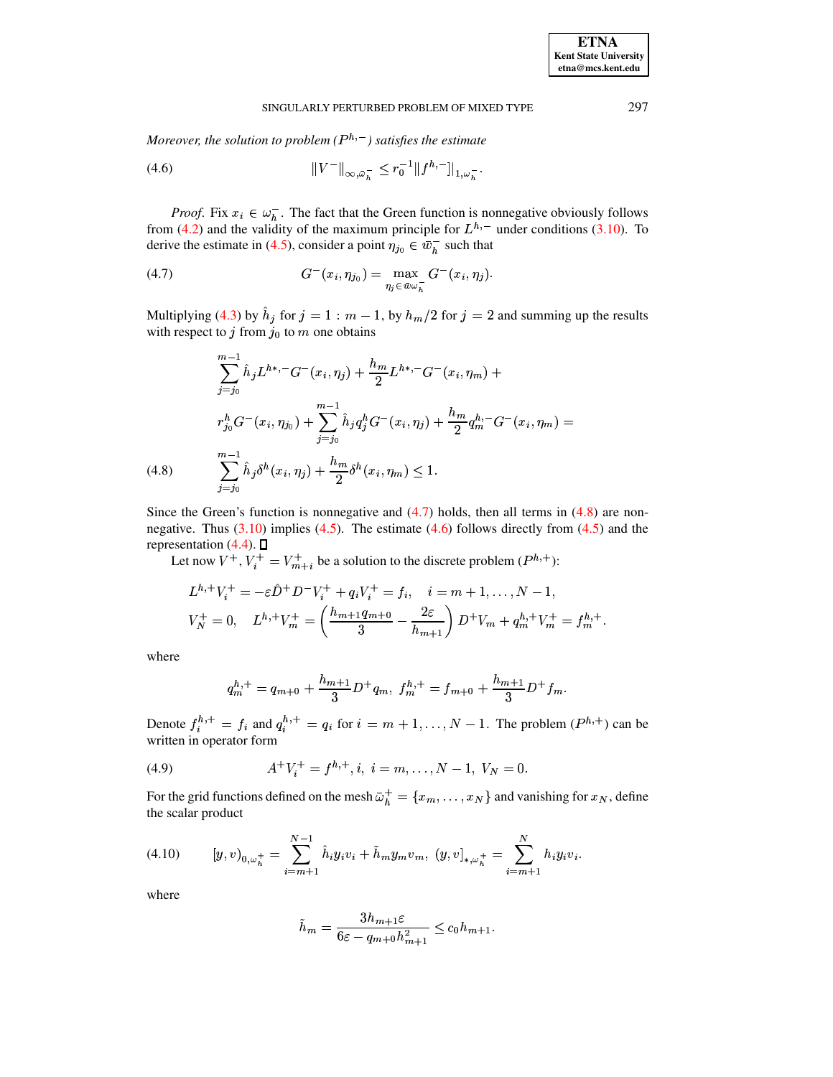Moreover, the solution to problem  $(P^{h,-})$  satisfies the estimate

<span id="page-9-2"></span>(4.6) 
$$
||V^{-}||_{\infty,\bar{\omega}_{h}^{-}} \leq r_{0}^{-1}||f^{h,-}]|_{1,\omega_{h}^{-}}.
$$

*Proof.* Fix  $x_i \in \omega_h^-$ . The fact that the Green function is nonnegative obviously follows from (4.2) and the validity of the maximum principle for  $L^{h,-}$  under conditions (3.10). To derive the estimate in (4.5), consider a point  $\eta_{j_0} \in \bar{w}_h^-$  such that

<span id="page-9-0"></span>(4.7) 
$$
G^{-}(x_i, \eta_{j_0}) = \max_{\eta_j \in \bar{w}\omega_n^-} G^{-}(x_i, \eta_j).
$$

Multiplying (4.3) by  $\hat{h}_j$  for  $j = 1 : m - 1$ , by  $h_m/2$  for  $j = 2$  and summing up the results with respect to  $j$  from  $j_0$  to  $m$  one obtains

<span id="page-9-1"></span>
$$
\sum_{j=j_0}^{m-1} \hat{h}_j L^{h*,-} G^-(x_i, \eta_j) + \frac{h_m}{2} L^{h*,-} G^-(x_i, \eta_m) +
$$
  

$$
r_{j_0}^h G^-(x_i, \eta_{j_0}) + \sum_{j=j_0}^{m-1} \hat{h}_j q_j^h G^-(x_i, \eta_j) + \frac{h_m}{2} q_m^{h,-} G^-(x_i, \eta_m) =
$$
  
(4.8) 
$$
\sum_{j=j_0}^{m-1} \hat{h}_j \delta^h(x_i, \eta_j) + \frac{h_m}{2} \delta^h(x_i, \eta_m) \le 1.
$$

Since the Green's function is nonnegative and  $(4.7)$  holds, then all terms in  $(4.8)$  are nonnegative. Thus  $(3.10)$  implies  $(4.5)$ . The estimate  $(4.6)$  follows directly from  $(4.5)$  and the representation (4.4).  $\Box$ <br>Let now  $V^+$ ,  $V_i^+ = V_{m+i}^+$  be a solution to the discrete problem ( $P^{h,+}$ ):

$$
L^{h,+}V_i^+ = -\varepsilon \hat{D}^+ D^- V_i^+ + q_i V_i^+ = f_i, \quad i = m+1, \dots, N-1,
$$
  

$$
V_N^+ = 0, \quad L^{h,+}V_m^+ = \left(\frac{h_{m+1}q_{m+0}}{3} - \frac{2\varepsilon}{h_{m+1}}\right) D^+ V_m + q_m^{h,+} V_m^+ = f_m^{h,+}.
$$

where

$$
q_m^{h,+} = q_{m+0} + \frac{h_{m+1}}{3} D^+ q_m, \ f_m^{h,+} = f_{m+0} + \frac{h_{m+1}}{3} D^+ f_m.
$$

Denote  $f_i^{h,+} = f_i$  and  $q_i^{h,+} = q_i$  for  $i = m + 1, ..., N - 1$ . The problem  $(P^{h,+})$  can be written in operator form

<span id="page-9-3"></span>(4.9) 
$$
A^+V_i^+ = f^{h,+}, i, \ i = m, \dots, N-1, \ V_N = 0.
$$

For the grid functions defined on the mesh  $\bar{\omega}_h^+ = \{x_m, \dots, x_N\}$  and vanishing for  $x_N$ , define the scalar product

<span id="page-9-4"></span>
$$
(4.10) \t[y,v]_{0,\omega_h^+} = \sum_{i=m+1}^{N-1} \hat{h}_i y_i v_i + \tilde{h}_m y_m v_m, (y,v]_{*,\omega_h^+} = \sum_{i=m+1}^{N} h_i y_i v_i.
$$

where

$$
\tilde{h}_m = \frac{3h_{m+1}\varepsilon}{6\varepsilon - q_{m+0}h_{m+1}^2} \le c_0 h_{m+1}.
$$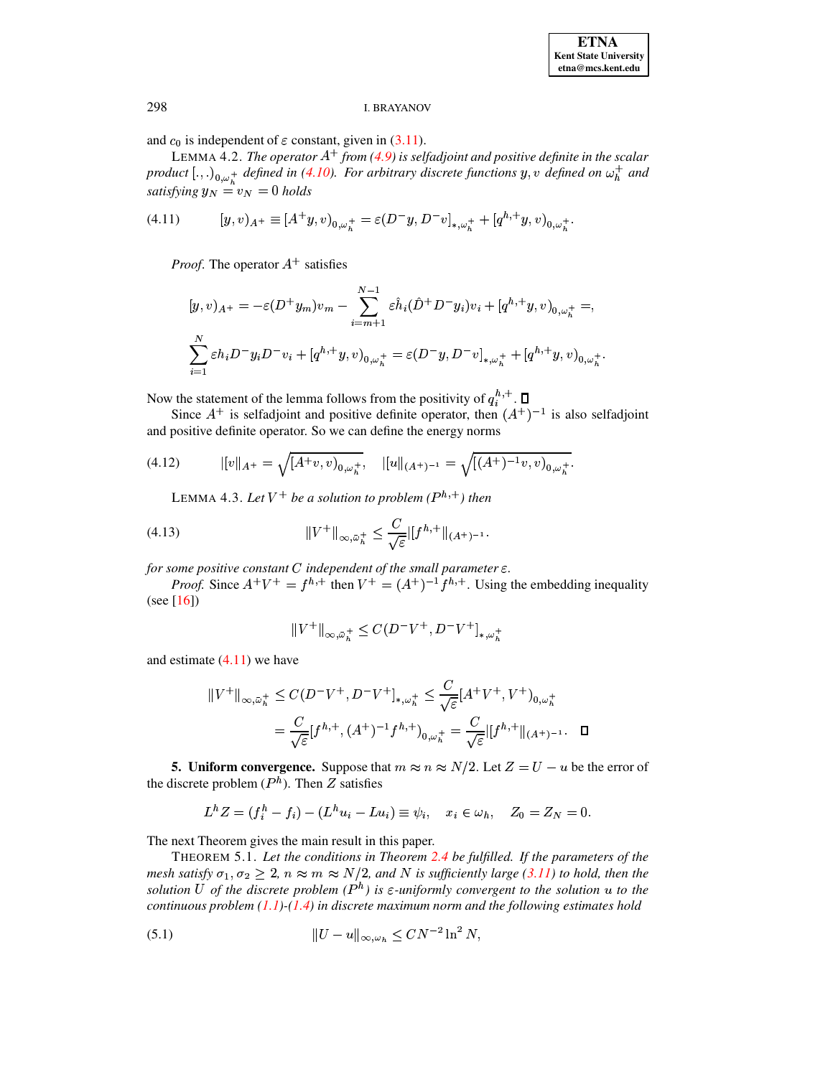and  $c_0$  is independent of  $\varepsilon$  constant, given in (3.11).

LEMMA 4.2. The operator  $A^+$  from (4.9) is selfadjoint and positive definite in the scalar product  $[.,.)_{{0,\omega_*^+}}$  defined in (4.10). For arbitrary discrete functions y, v defined on  $\omega_h^+$  and satisfying  $y_N = v_N = 0$  holds

<span id="page-10-1"></span>(4.11) 
$$
[y,v)_{A^+} \equiv [A^+y,v)_{0,\omega_h^+} = \varepsilon (D^-y,D^-v]_{*,\omega_h^+} + [q^{h,+}y,v)_{0,\omega_h^+}.
$$

*Proof.* The operator  $A^+$  satisfies

$$
[y, v)_{A^{+}} = -\varepsilon (D^{+} y_{m}) v_{m} - \sum_{i=m+1}^{N-1} \varepsilon \hat{h}_{i} (\hat{D}^{+} D^{-} y_{i}) v_{i} + [q^{h,+} y, v)_{0, \omega_{h}^{+}} =,
$$
  

$$
\sum_{i=1}^{N} \varepsilon h_{i} D^{-} y_{i} D^{-} v_{i} + [q^{h,+} y, v)_{0, \omega_{h}^{+}} = \varepsilon (D^{-} y, D^{-} v]_{*, \omega_{h}^{+}} + [q^{h,+} y, v)_{0, \omega_{h}^{+}}
$$

Now the statement of the lemma follows from the positivity of  $q_i^{h,+}$ .  $\Box$ 

Since  $A^+$  is selfadjoint and positive definite operator, then  $(A^+)^{-1}$  is also selfadjoint and positive definite operator. So we can define the energy norms

(4.12) 
$$
||v||_{A^{+}} = \sqrt{[A^{+}v,v)_{0,\omega_{h}^{+}}}, \quad ||u||_{(A^{+})^{-1}} = \sqrt{[(A^{+})^{-1}v,v)_{0,\omega_{h}^{+}}}
$$

<span id="page-10-2"></span>LEMMA 4.3. Let  $V^+$  be a solution to problem ( $P^{h,+}$ ) then

(4.13) 
$$
||V^+||_{\infty,\bar{\omega}_h^+} \leq \frac{C}{\sqrt{\varepsilon}}||f^{h,+}||_{(A^+)^{-1}}.
$$

for some positive constant  $C$  independent of the small parameter  $\varepsilon$ .

*Proof.* Since  $A^+V^+ = f^{h,+}$  then  $V^+ = (A^+)^{-1}f^{h,+}$ . Using the embedding inequality  $(see [16])$ 

$$
\|V^+\|_{\infty,\bar{\omega}_h^+}\leq C (D^-V^+,D^-V^+]_{*,\omega_h^+}
$$

and estimate  $(4.11)$  we have

$$
||V^+||_{\infty,\bar{\omega}_h^+} \le C(D^-V^+, D^-V^+]_{*,\omega_h^+} \le \frac{C}{\sqrt{\varepsilon}}[A^+V^+, V^+)_{0,\omega_h^+}
$$
  
=  $\frac{C}{\sqrt{\varepsilon}}[f^{h,+}, (A^+)^{-1}f^{h,+})_{0,\omega_h^+} = \frac{C}{\sqrt{\varepsilon}}|[f^{h,+}||(A^+)^{-1}.\quad \Box$ 

**5. Uniform convergence.** Suppose that  $m \approx n \approx N/2$ . Let  $Z = U - u$  be the error of the discrete problem  $(P<sup>h</sup>)$ . Then Z satisfies

<span id="page-10-0"></span>
$$
L^{h}Z = (f_i^h - f_i) - (L^{h}u_i - Lu_i) \equiv \psi_i, \quad x_i \in \omega_h, \quad Z_0 = Z_N = 0.
$$

The next Theorem gives the main result in this paper.

THEOREM 5.1. Let the conditions in Theorem 2.4 be fulfilled. If the parameters of the mesh satisfy  $\sigma_1, \sigma_2 \geq 2$ ,  $n \approx m \approx N/2$ , and N is sufficiently large (3.11) to hold, then the solution U of the discrete problem  $(P^h)$  is  $\varepsilon$ -uniformly convergent to the solution u to the continuous problem  $(1.1)$ - $(1.4)$  in discrete maximum norm and the following estimates hold

(5.1) 
$$
||U - u||_{\infty, \omega_h} \leq C N^{-2} \ln^2 N,
$$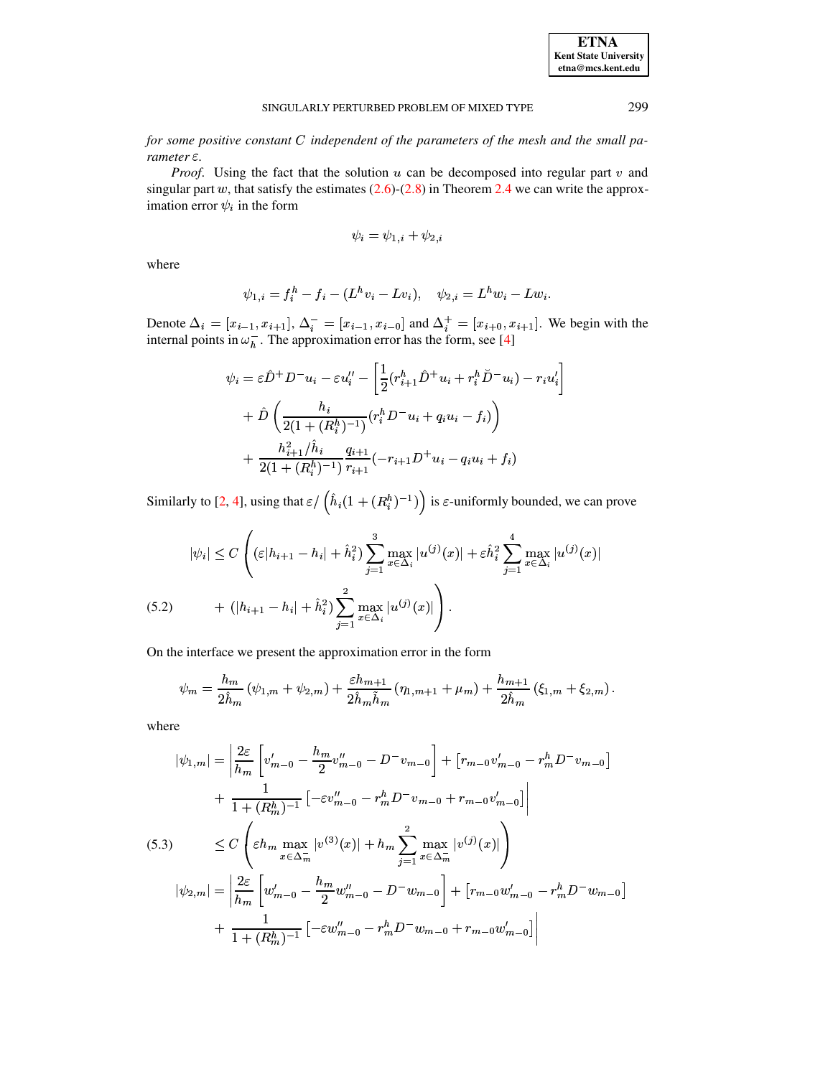for some positive constant  $C$  independent of the parameters of the mesh and the small parameter  $\varepsilon$ .

*Proof.* Using the fact that the solution  $u$  can be decomposed into regular part  $v$  and singular part w, that satisfy the estimates  $(2.6)$ - $(2.8)$  in Theorem 2.4 we can write the approximation error  $\psi_i$  in the form

$$
\psi_i = \psi_{1,i} + \psi_{2,i}
$$

where

$$
\psi_{1,i} = f_i^h - f_i - (L^h v_i - L v_i), \quad \psi_{2,i} = L^h w_i - L w_i
$$

Denote  $\Delta_i = [x_{i-1}, x_{i+1}], \Delta_i^- = [x_{i-1}, x_{i-0}]$  and  $\Delta_i^+ = [x_{i+0}, x_{i+1}]$ . We begin with the internal points in  $\omega_h^-$ . The approximation error has the form, see [4]

$$
\psi_i = \varepsilon \hat{D}^+ D^- u_i - \varepsilon u_i'' - \left[ \frac{1}{2} (r_{i+1}^h \hat{D}^+ u_i + r_i^h \check{D}^- u_i) - r_i u_i' \right] + \hat{D} \left( \frac{h_i}{2(1 + (R_i^h)^{-1})} (r_i^h D^- u_i + q_i u_i - f_i) \right) + \frac{h_{i+1}^2 / \hat{h}_i}{2(1 + (R_i^h)^{-1})} \frac{q_{i+1}}{r_{i+1}} (-r_{i+1} D^+ u_i - q_i u_i + f_i)
$$

Similarly to [2, 4], using that  $\varepsilon / (h_i(1 + (R_i^h)^{-1}))$  is  $\varepsilon$ -uniformly bounded, we can prove

<span id="page-11-0"></span>
$$
|\psi_i| \le C \left( (\varepsilon |h_{i+1} - h_i| + \hat{h}_i^2) \sum_{j=1}^3 \max_{x \in \Delta_i} |u^{(j)}(x)| + \varepsilon \hat{h}_i^2 \sum_{j=1}^4 \max_{x \in \Delta_i} |u^{(j)}(x)| + (|h_{i+1} - h_i| + \hat{h}_i^2) \sum_{j=1}^2 \max_{x \in \Delta_i} |u^{(j)}(x)| \right).
$$
\n(5.2)

On the interface we present the approximation error in the form

$$
\psi_m = \frac{h_m}{2\hat{h}_m} (\psi_{1,m} + \psi_{2,m}) + \frac{\varepsilon h_{m+1}}{2\hat{h}_m \tilde{h}_m} (\eta_{1,m+1} + \mu_m) + \frac{h_{m+1}}{2\hat{h}_m} (\xi_{1,m} + \xi_{2,m}).
$$

where

<span id="page-11-1"></span>
$$
|\psi_{1,m}| = \left| \frac{2\varepsilon}{h_m} \left[ v'_{m-0} - \frac{h_m}{2} v''_{m-0} - D^- v_{m-0} \right] + \left[ r_{m-0} v'_{m-0} - r_m^h D^- v_{m-0} \right] + \frac{1}{1 + (R_m^h)^{-1}} \left[ -\varepsilon v''_{m-0} - r_m^h D^- v_{m-0} + r_{m-0} v'_{m-0} \right] \n(5.3) \leq C \left( \varepsilon h_m \max_{x \in \Delta_m^-} |v^{(3)}(x)| + h_m \sum_{j=1}^2 \max_{x \in \Delta_m^-} |v^{(j)}(x)| \right) |\psi_{2,m}| = \left| \frac{2\varepsilon}{h_m} \left[ w'_{m-0} - \frac{h_m}{2} w''_{m-0} - D^- w_{m-0} \right] + \left[ r_{m-0} w'_{m-0} - r_m^h D^- w_{m-0} \right] + \frac{1}{1 + (R_m^h)^{-1}} \left[ -\varepsilon w''_{m-0} - r_m^h D^- w_{m-0} + r_{m-0} w'_{m-0} \right] \right|
$$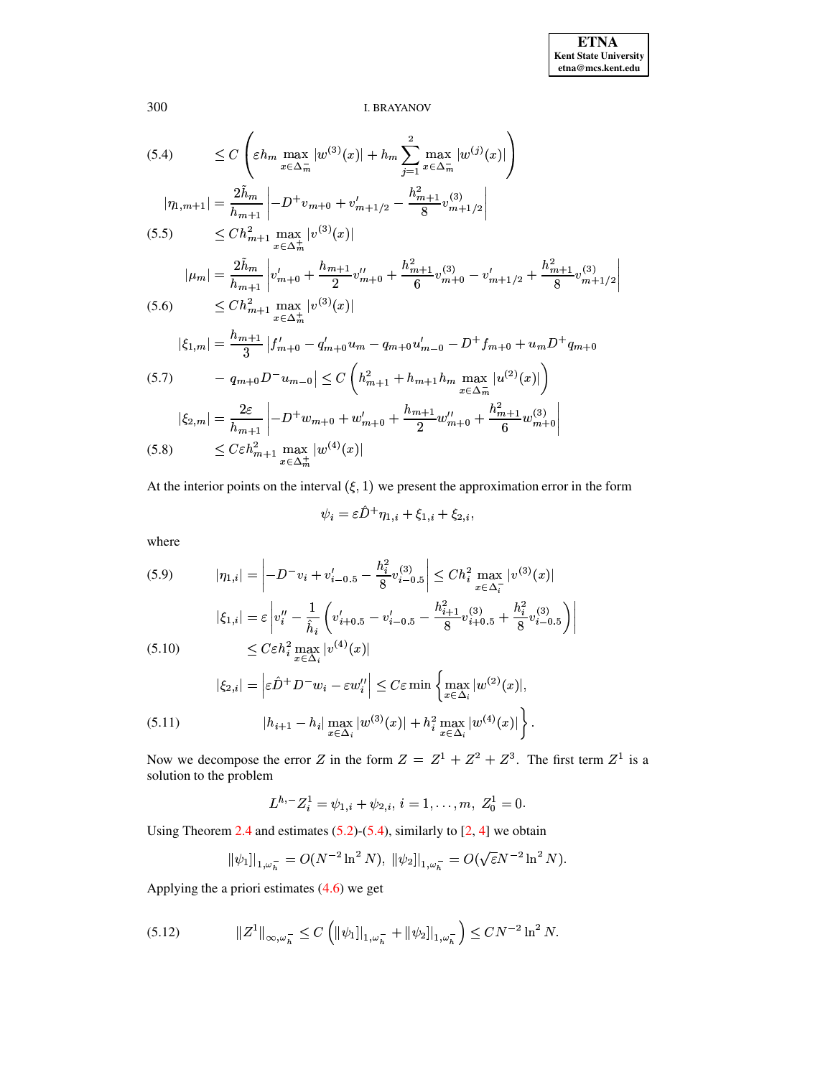$\Big)$ 

**I. BRAYANOV** 

(5.4) 
$$
\leq C \left( \varepsilon h_m \max_{x \in \Delta_m^-} |w^{(3)}(x)| + h_m \sum_{j=1}^2 \max_{x \in \Delta_m^-} |w^{(j)}(x)| \right)
$$
  
\n
$$
|\eta_{1,m+1}| = \frac{2\tilde{h}_m}{h_{m+1}} \left| -D^+ v_{m+0} + v'_{m+1/2} - \frac{h_{m+1}^2}{8} v_{m+1/2}^{(3)} \right|
$$
  
\n(5.5) 
$$
\leq C h_{m+1}^2 \max_{x \in \Delta_m^+} |v^{(3)}(x)|
$$
  
\n
$$
|\mu_m| = \frac{2\tilde{h}_m}{h_{m+1}} \left| v'_{m+0} + \frac{h_{m+1}}{2} v''_{m+0} + \frac{h_{m+1}^2}{6} v_{m+0}^{(3)} - v'_{m+1/2} + \frac{h_{m+1}^2}{8} v_{m+1/2}^{(3)} \right|
$$
  
\n(5.6) 
$$
\leq C h_{m+1}^2 \max_{x \in \Delta_m^+} |v^{(3)}(x)|
$$
  
\n
$$
|\xi_{1,m}| = \frac{h_{m+1}}{3} |f'_{m+0} - q'_{m+0}u_m - q_{m+0}u'_{m-0} - D^+ f_{m+0} + u_m D^+ g_{m+0}
$$
  
\n(5.7) 
$$
- q_{m+0} D^- u_{m-0}| \leq C \left( h_{m+1}^2 + h_{m+1} h_m \max_{x \in \Delta_m^-} |u^{(2)}(x)| \right)
$$
  
\n
$$
|\xi_{2,m}| = \frac{2\varepsilon}{h_{m+1}} \left| -D^+ w_{m+0} + w'_{m+0} + \frac{h_{m+1}}{2} w''_{m+0} + \frac{h_{m+1}^2}{6} w_{m+0}^{(3)} \right|
$$
  
\n(5.8) 
$$
\leq C \varepsilon h_{m+1}^2 \max_{x \in \Delta_m^+} |w^{(4)}(x)|
$$

At the interior points on the interval  $(\xi, 1)$  we present the approximation error in the form

$$
\psi_i = \varepsilon D^+ \eta_{1,i} + \xi_{1,i} + \xi_{2,i},
$$

where

<span id="page-12-0"></span>(5.9) 
$$
|\eta_{1,i}| = \left| -D^{-}v_{i} + v'_{i-0.5} - \frac{h_{i}^{2}}{8}v_{i-0.5}^{(3)} \right| \leq Ch_{i}^{2} \max_{x \in \Delta_{i}^{-}} |v^{(3)}(x)|
$$

$$
|\xi_{1,i}| = \varepsilon \left| v''_{i} - \frac{1}{\hat{h}_{i}} \left( v'_{i+0.5} - v'_{i-0.5} - \frac{h_{i+1}^{2}}{8}v_{i+0.5}^{(3)} + \frac{h_{i}^{2}}{8}v_{i-0.5}^{(3)} \right) \right|
$$

$$
\leq C\varepsilon h_{i}^{2} \max_{x \in \Delta_{i}} |v^{(4)}(x)|
$$

$$
|\xi_{2,i}| = \left| \varepsilon \hat{D}^{+} D^{-} w_{i} - \varepsilon w''_{i} \right| \leq C\varepsilon \min \left\{ \max_{x \in \Delta_{i}} |w^{(2)}(x)|, \right\}
$$

$$
(5.11) \qquad |h_{i+1} - h_{i}| \max_{x \in \Delta_{i}} |w^{(3)}(x)| + h_{i}^{2} \max_{x \in \Delta_{i}} |w^{(4)}(x)| \right\}.
$$

Now we decompose the error Z in the form  $Z = Z^1 + Z^2 + Z^3$ . The first term  $Z^1$  is a solution to the problem

$$
L^{h,-}Z_i^1=\psi_{1,i}+\psi_{2,i}, i=1,\ldots,m, Z_0^1=0.
$$

Using Theorem 2.4 and estimates  $(5.2)$ - $(5.4)$ , similarly to [2, 4] we obtain

$$
\|\psi_1\|_{1,\omega_h^-} = O(N^{-2} \ln^2 N), \ \|\psi_2\|_{1,\omega_h^-} = O(\sqrt{\varepsilon} N^{-2} \ln^2 N).
$$

Applying the a priori estimates  $(4.6)$  we get

<span id="page-12-1"></span>
$$
(5.12) \t\t\t ||Z1||_{\infty,\omega_h^-} \leq C \left( \|\psi_1\|_{1,\omega_h^-} + \|\psi_2\|_{1,\omega_h^-} \right) \leq C N^{-2} \ln^2 N.
$$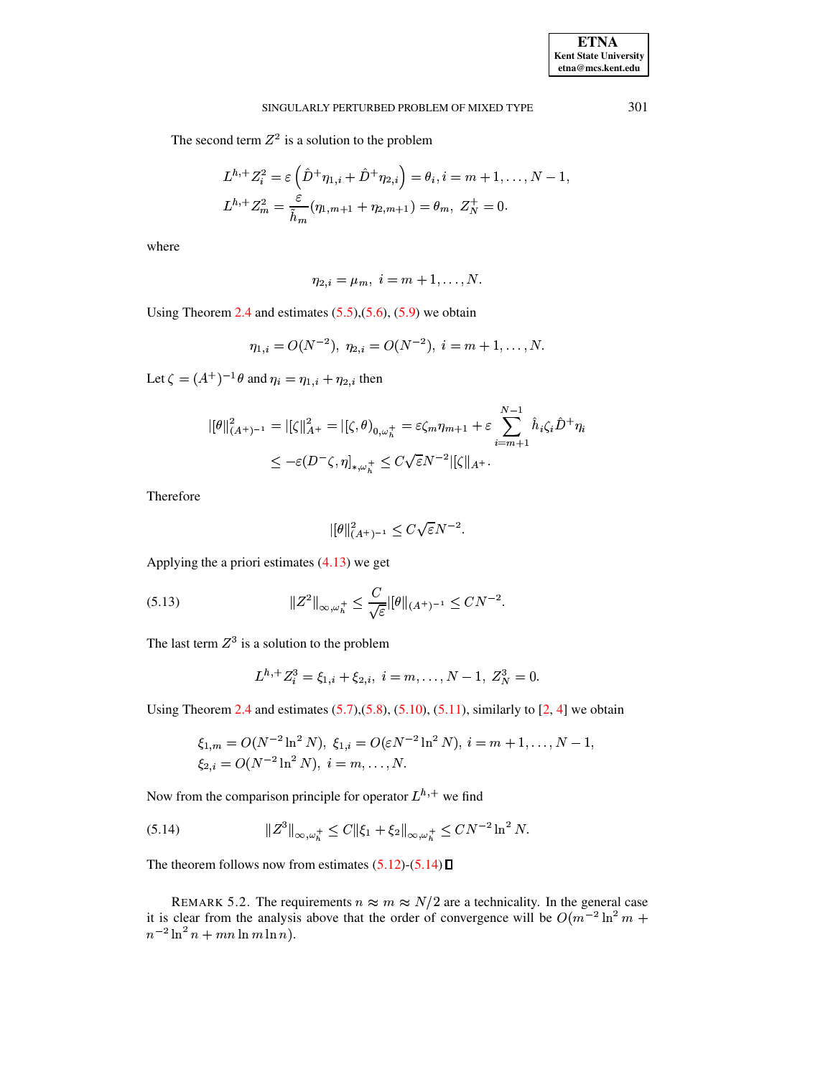The second term  $Z^2$  is a solution to the problem

$$
L^{h,+}Z_i^2 = \varepsilon \left(\hat{D}^+\eta_{1,i} + \hat{D}^+\eta_{2,i}\right) = \theta_i, i = m+1,\dots,N-1,
$$
  

$$
L^{h,+}Z_m^2 = \frac{\varepsilon}{\tilde{h}_m}(\eta_{1,m+1} + \eta_{2,m+1}) = \theta_m, Z_N^+ = 0.
$$

where

$$
\eta_{2,i} = \mu_m, \ i = m+1, \dots, N.
$$

Using Theorem 2.4 and estimates  $(5.5)$ , $(5.6)$ ,  $(5.9)$  we obtain

$$
\eta_{1,i}=O(N^{-2}),\ \eta_{2,i}=O(N^{-2}),\ i=m+1,\ldots,N.
$$

Let  $\zeta = (A^+)^{-1}\theta$  and  $\eta_i = \eta_{1,i} + \eta_{2,i}$  then

$$
\begin{aligned} ||[\theta||_{(A^+)^{-1}}^2 &= |[\zeta||_{A^+}^2 = |[\zeta, \theta]_{0, \omega_h^+} = \varepsilon \zeta_m \eta_{m+1} + \varepsilon \sum_{i=m+1}^{N-1} \hat{h}_i \zeta_i \hat{D}^+ \eta_i \\ &\leq -\varepsilon (D^- \zeta, \eta]_{*, \omega_h^+} \leq C \sqrt{\varepsilon} N^{-2} ||\zeta||_{A^+}. \end{aligned}
$$

Therefore

$$
||\theta||_{(A^+)^{-1}}^2 \le C\sqrt{\varepsilon}N^{-2}.
$$

Applying the a priori estimates  $(4.13)$  we get

(5.13) 
$$
||Z^2||_{\infty,\omega_h^+} \leq \frac{C}{\sqrt{\varepsilon}}||\theta||_{(A^+)^{-1}} \leq CN^{-2}.
$$

The last term  $Z^3$  is a solution to the problem

$$
L^{h,+}Z_i^3 = \xi_{1,i} + \xi_{2,i}, i = m, \ldots, N-1, Z_N^3 = 0.
$$

Using Theorem 2.4 and estimates  $(5.7)$ , $(5.8)$ ,  $(5.10)$ ,  $(5.11)$ , similarly to  $[2, 4]$  we obtain

$$
\xi_{1,m} = O(N^{-2} \ln^2 N), \ \xi_{1,i} = O(\varepsilon N^{-2} \ln^2 N), \ i = m+1, \dots, N-1, \n\xi_{2,i} = O(N^{-2} \ln^2 N), \ i = m, \dots, N.
$$

Now from the comparison principle for operator  $L^{h,+}$  we find

<span id="page-13-0"></span>(5.14) 
$$
\|Z^{3}\|_{\infty,\omega_{h}^{+}} \leq C \|\xi_{1} + \xi_{2}\|_{\infty,\omega_{h}^{+}} \leq C N^{-2} \ln^{2} N.
$$

The theorem follows now from estimates  $(5.12)$ - $(5.14)$   $\Box$ 

REMARK 5.2. The requirements  $n \approx m \approx N/2$  are a technicality. In the general case it is clear from the analysis above that the order of convergence will be  $O(m^{-2} \ln^2 m +$  $n^{-2} \ln^2 n + mn \ln m \ln n$ .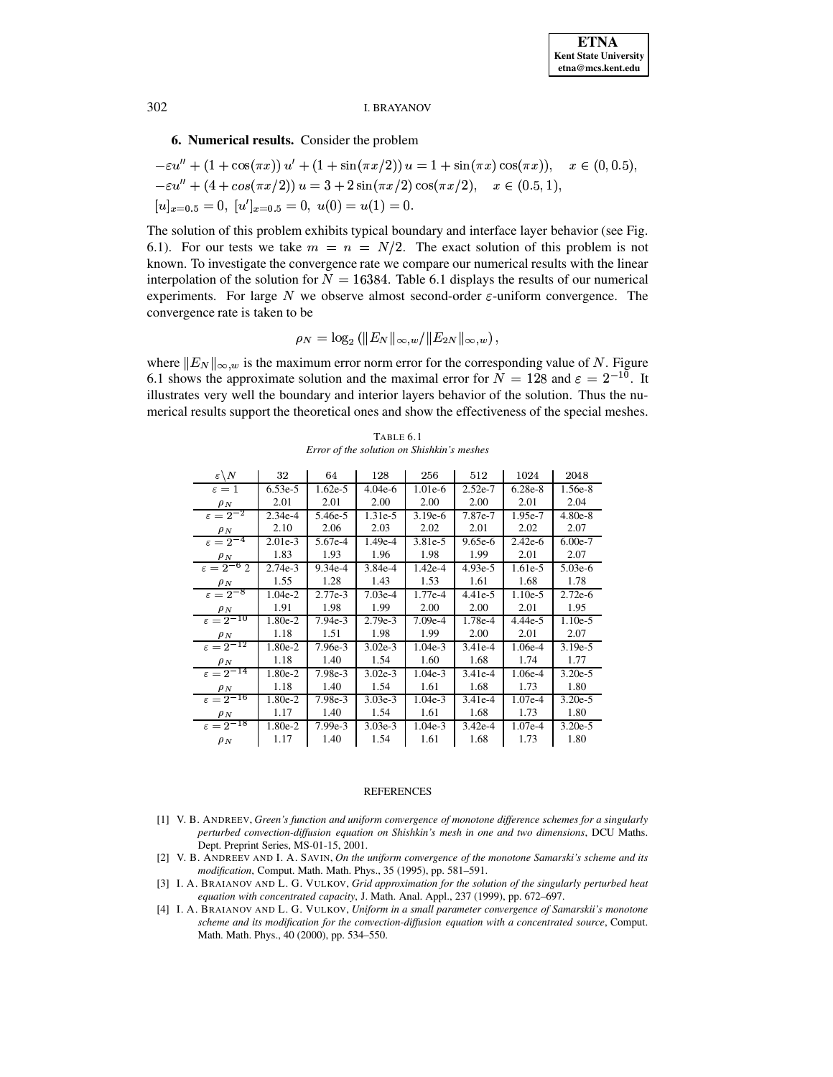## 6. Numerical results. Consider the problem

$$
-\varepsilon u'' + (1 + \cos(\pi x)) u' + (1 + \sin(\pi x/2)) u = 1 + \sin(\pi x) \cos(\pi x)), \quad x \in (0, 0.5),
$$
  

$$
-\varepsilon u'' + (4 + \cos(\pi x/2)) u = 3 + 2 \sin(\pi x/2) \cos(\pi x/2), \quad x \in (0.5, 1),
$$
  

$$
[u]_{x=0.5} = 0, [u']_{x=0.5} = 0, u(0) = u(1) = 0.
$$

The solution of this problem exhibits typical boundary and interface layer behavior (see Fig. 6.1). For our tests we take  $m = n = N/2$ . The exact solution of this problem is not known. To investigate the convergence rate we compare our numerical results with the linear interpolation of the solution for  $N = 16384$ . Table 6.1 displays the results of our numerical experiments. For large  $N$  we observe almost second-order  $\varepsilon$ -uniform convergence. The convergence rate is taken to be

$$
\rho_N = \log_2 (||E_N||_{\infty, w}/||E_{2N}||_{\infty, w})
$$

where  $||E_N||_{\infty, w}$  is the maximum error norm error for the corresponding value of N. Figure 6.1 shows the approximate solution and the maximal error for  $N = 128$  and  $\varepsilon = 2^{-10}$ . It illustrates very well the boundary and interior layers behavior of the solution. Thus the numerical results support the theoretical ones and show the effectiveness of the special meshes.

| $\varepsilon \backslash N$ | 32        | 64        | 128       | 256       | 512       | 1024      | 2048      |
|----------------------------|-----------|-----------|-----------|-----------|-----------|-----------|-----------|
| $\varepsilon = 1$          | $6.53e-5$ | $1.62e-5$ | $4.04e-6$ | $1.01e-6$ | $2.52e-7$ | $6.28e-8$ | 1.56e-8   |
| $\rho_N$                   | 2.01      | 2.01      | 2.00      | 2.00      | 2.00      | 2.01      | 2.04      |
| $\varepsilon = 2^{-2}$     | $2.34e-4$ | 5.46e-5   | $1.31e-5$ | $3.19e-6$ | 7.87e-7   | 1.95e-7   | $4.80e-8$ |
| $\rho_N$                   | 2.10      | 2.06      | 2.03      | 2.02      | 2.01      | 2.02      | 2.07      |
| $\varepsilon = 2^{-4}$     | $2.01e-3$ | 5.67e-4   | 1.49e-4   | 3.81e-5   | $9.65e-6$ | $2.42e-6$ | $6.00e-7$ |
| $\rho_N$                   | 1.83      | 1.93      | 1.96      | 1.98      | 1.99      | 2.01      | 2.07      |
| $\varepsilon = 2^{-6}$ 2   | $2.74e-3$ | $9.34e-4$ | $3.84e-4$ | 1.42e-4   | $4.93e-5$ | 1.61e-5   | $5.03e-6$ |
| $\rho_N$                   | 1.55      | 1.28      | 1.43      | 1.53      | 1.61      | 1.68      | 1.78      |
| $\varepsilon = 2^{-8}$     | $1.04e-2$ | 2.77e-3   | $7.03e-4$ | 1.77e-4   | $4.41e-5$ | $1.10e-5$ | $2.72e-6$ |
| $\rho_N$                   | 1.91      | 1.98      | 1.99      | 2.00      | 2.00      | 2.01      | 1.95      |
| $\varepsilon = 2^{-10}$    | 1.80e-2   | $7.94e-3$ | 2.79e-3   | $7.09e-4$ | 1.78e-4   | 4.44e-5   | $1.10e-5$ |
| $\rho_N$                   | 1.18      | 1.51      | 1.98      | 1.99      | 2.00      | 2.01      | 2.07      |
| $\varepsilon = 2^{-12}$    | 1.80e-2   | 7.96e-3   | $3.02e-3$ | $1.04e-3$ | $3.41e-4$ | 1.06e-4   | $3.19e-5$ |
| $\rho_N$                   | 1.18      | 1.40      | 1.54      | 1.60      | 1.68      | 1.74      | 1.77      |
| $\varepsilon = 2^{-14}$    | 1.80e-2   | 7.98e-3   | $3.02e-3$ | $1.04e-3$ | $3.41e-4$ | 1.06e-4   | $3.20e-5$ |
| $\rho_N$                   | 1.18      | 1.40      | 1.54      | 1.61      | 1.68      | 1.73      | 1.80      |
| $\varepsilon = 2^{-16}$    | 1.80e-2   | 7.98e-3   | $3.03e-3$ | $1.04e-3$ | $3.41e-4$ | 1.07e-4   | $3.20e-5$ |
| $\rho_N$                   | 1.17      | 1.40      | 1.54      | 1.61      | 1.68      | 1.73      | 1.80      |
| $\epsilon = 2^{-18}$       | 1.80e-2   | $7.99e-3$ | $3.03e-3$ | $1.04e-3$ | $3.42e-4$ | 1.07e-4   | $3.20e-5$ |
| $\rho_N$                   | 1.17      | 1.40      | 1.54      | 1.61      | 1.68      | 1.73      | 1.80      |

TABLE 6.1 Error of the solution on Shishkin's meshes

#### **REFERENCES**

- <span id="page-14-1"></span>[1] V. B. ANDREEV, Green's function and uniform convergence of monotone difference schemes for a singularly perturbed convection-diffusion equation on Shishkin's mesh in one and two dimensions, DCU Maths. Dept. Preprint Series, MS-01-15, 2001.
- <span id="page-14-2"></span>[2] V. B. ANDREEV AND I. A. SAVIN, On the uniform convergence of the monotone Samarski's scheme and its modification, Comput. Math. Math. Phys., 35 (1995), pp. 581-591.
- <span id="page-14-3"></span>[3] I. A. BRAIANOV AND L. G. VULKOV, Grid approximation for the solution of the singularly perturbed heat equation with concentrated capacity, J. Math. Anal. Appl., 237 (1999), pp. 672-697.
- <span id="page-14-0"></span>[4] I. A. BRAIANOV AND L. G. VULKOV, Uniform in a small parameter convergence of Samarskii's monotone scheme and its modification for the convection-diffusion equation with a concentrated source, Comput. Math. Math. Phys., 40 (2000), pp. 534-550.